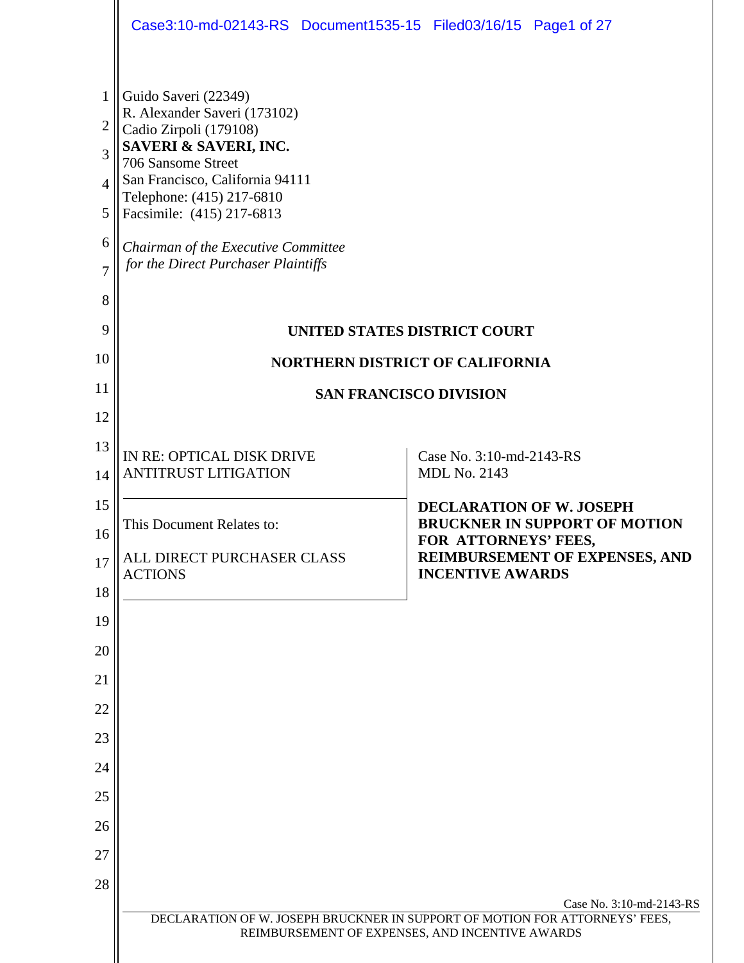|                     | Case3:10-md-02143-RS Document1535-15 Filed03/16/15 Page1 of 27             |                                                                                                                                                            |  |  |
|---------------------|----------------------------------------------------------------------------|------------------------------------------------------------------------------------------------------------------------------------------------------------|--|--|
| 1                   | Guido Saveri (22349)                                                       |                                                                                                                                                            |  |  |
| 2                   | R. Alexander Saveri (173102)<br>Cadio Zirpoli (179108)                     |                                                                                                                                                            |  |  |
| 3                   | SAVERI & SAVERI, INC.<br>706 Sansome Street                                |                                                                                                                                                            |  |  |
| 4                   | San Francisco, California 94111                                            |                                                                                                                                                            |  |  |
| 5                   | Telephone: (415) 217-6810<br>Facsimile: (415) 217-6813                     |                                                                                                                                                            |  |  |
| 6<br>$\overline{7}$ | Chairman of the Executive Committee<br>for the Direct Purchaser Plaintiffs |                                                                                                                                                            |  |  |
| 8                   |                                                                            |                                                                                                                                                            |  |  |
| 9                   | UNITED STATES DISTRICT COURT                                               |                                                                                                                                                            |  |  |
| 10                  | <b>NORTHERN DISTRICT OF CALIFORNIA</b>                                     |                                                                                                                                                            |  |  |
| 11                  | <b>SAN FRANCISCO DIVISION</b>                                              |                                                                                                                                                            |  |  |
| 12                  |                                                                            |                                                                                                                                                            |  |  |
| 13                  | IN RE: OPTICAL DISK DRIVE                                                  | Case No. 3:10-md-2143-RS                                                                                                                                   |  |  |
| 14                  | <b>ANTITRUST LITIGATION</b>                                                | <b>MDL No. 2143</b>                                                                                                                                        |  |  |
| 15                  | This Document Relates to:                                                  | <b>DECLARATION OF W. JOSEPH</b><br><b>BRUCKNER IN SUPPORT OF MOTION</b>                                                                                    |  |  |
| 16                  | ALL DIRECT PURCHASER CLASS                                                 | FOR ATTORNEYS' FEES,<br>REIMBURSEMENT OF EXPENSES, AND                                                                                                     |  |  |
| 17                  | <b>ACTIONS</b>                                                             | <b>INCENTIVE AWARDS</b>                                                                                                                                    |  |  |
| 18<br>19            |                                                                            |                                                                                                                                                            |  |  |
| 20                  |                                                                            |                                                                                                                                                            |  |  |
| 21                  |                                                                            |                                                                                                                                                            |  |  |
| 22                  |                                                                            |                                                                                                                                                            |  |  |
| 23                  |                                                                            |                                                                                                                                                            |  |  |
| 24                  |                                                                            |                                                                                                                                                            |  |  |
| 25                  |                                                                            |                                                                                                                                                            |  |  |
| 26                  |                                                                            |                                                                                                                                                            |  |  |
| 27                  |                                                                            |                                                                                                                                                            |  |  |
| 28                  |                                                                            |                                                                                                                                                            |  |  |
|                     |                                                                            | Case No. 3:10-md-2143-RS<br>DECLARATION OF W. JOSEPH BRUCKNER IN SUPPORT OF MOTION FOR ATTORNEYS' FEES,<br>REIMBURSEMENT OF EXPENSES, AND INCENTIVE AWARDS |  |  |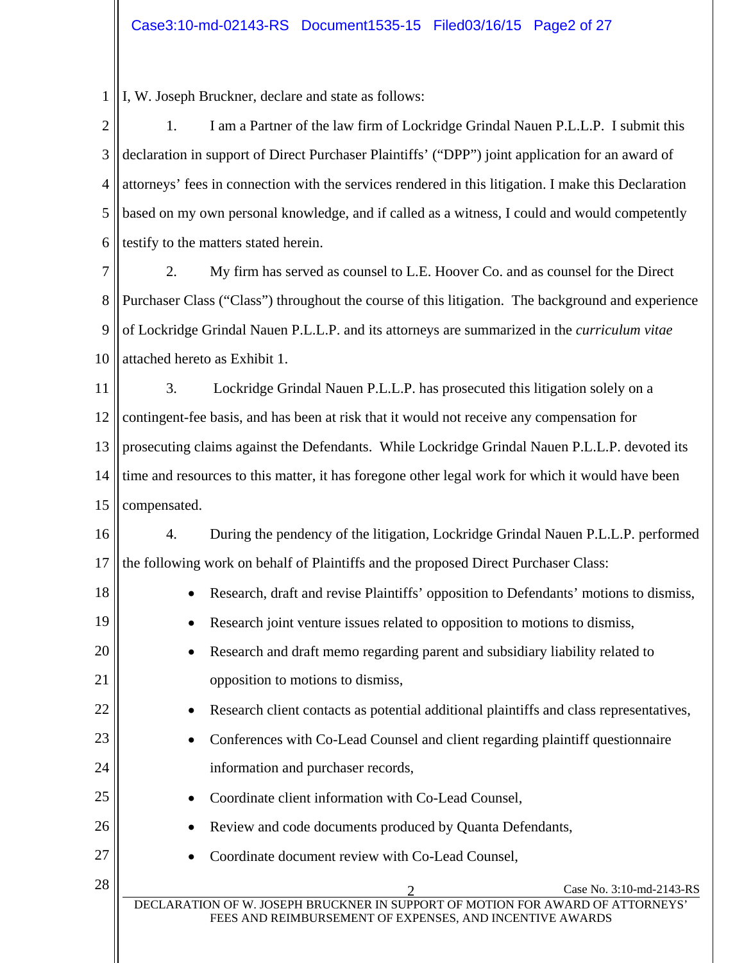1 I, W. Joseph Bruckner, declare and state as follows:

18

19

20

21

22

23

24

25

26

27

2 3 4 5 6 1. I am a Partner of the law firm of Lockridge Grindal Nauen P.L.L.P. I submit this declaration in support of Direct Purchaser Plaintiffs' ("DPP") joint application for an award of attorneys' fees in connection with the services rendered in this litigation. I make this Declaration based on my own personal knowledge, and if called as a witness, I could and would competently testify to the matters stated herein.

7 8 9 10 2. My firm has served as counsel to L.E. Hoover Co. and as counsel for the Direct Purchaser Class ("Class") throughout the course of this litigation. The background and experience of Lockridge Grindal Nauen P.L.L.P. and its attorneys are summarized in the *curriculum vitae* attached hereto as Exhibit 1.

11 12 13 14 15 3. Lockridge Grindal Nauen P.L.L.P. has prosecuted this litigation solely on a contingent-fee basis, and has been at risk that it would not receive any compensation for prosecuting claims against the Defendants. While Lockridge Grindal Nauen P.L.L.P. devoted its time and resources to this matter, it has foregone other legal work for which it would have been compensated.

16 17 4. During the pendency of the litigation, Lockridge Grindal Nauen P.L.L.P. performed the following work on behalf of Plaintiffs and the proposed Direct Purchaser Class:

- Research, draft and revise Plaintiffs' opposition to Defendants' motions to dismiss,
	- Research joint venture issues related to opposition to motions to dismiss,
- Research and draft memo regarding parent and subsidiary liability related to opposition to motions to dismiss,
	- Research client contacts as potential additional plaintiffs and class representatives,
	- Conferences with Co-Lead Counsel and client regarding plaintiff questionnaire information and purchaser records,
		- Coordinate client information with Co-Lead Counsel,
			- Review and code documents produced by Quanta Defendants,
			- Coordinate document review with Co-Lead Counsel,

 $28 \parallel$  Case No. 3:10-md-2143-RS

DECLARATION OF W. JOSEPH BRUCKNER IN SUPPORT OF MOTION FOR AWARD OF ATTORNEYS' FEES AND REIMBURSEMENT OF EXPENSES, AND INCENTIVE AWARDS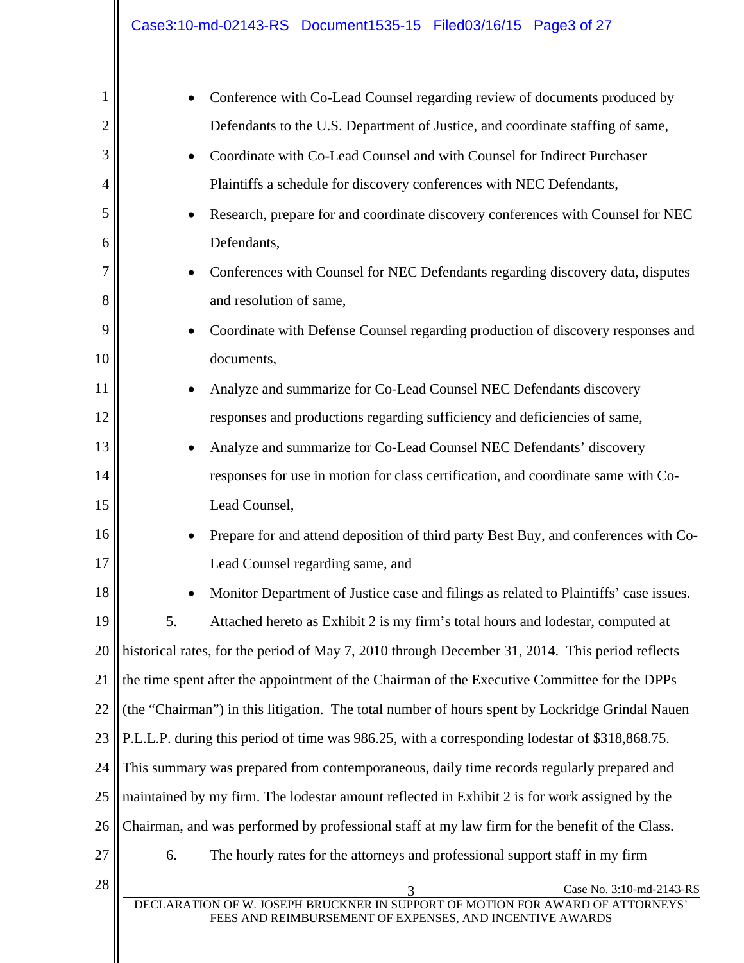| 1              |                                                                                                 | Conference with Co-Lead Counsel regarding review of documents produced by                                                                  |  |  |  |
|----------------|-------------------------------------------------------------------------------------------------|--------------------------------------------------------------------------------------------------------------------------------------------|--|--|--|
| $\overline{2}$ |                                                                                                 | Defendants to the U.S. Department of Justice, and coordinate staffing of same,                                                             |  |  |  |
| 3              |                                                                                                 | Coordinate with Co-Lead Counsel and with Counsel for Indirect Purchaser                                                                    |  |  |  |
| 4              |                                                                                                 | Plaintiffs a schedule for discovery conferences with NEC Defendants,                                                                       |  |  |  |
| 5              |                                                                                                 | Research, prepare for and coordinate discovery conferences with Counsel for NEC                                                            |  |  |  |
| 6              |                                                                                                 | Defendants,                                                                                                                                |  |  |  |
| 7              |                                                                                                 | Conferences with Counsel for NEC Defendants regarding discovery data, disputes                                                             |  |  |  |
| 8              |                                                                                                 | and resolution of same,                                                                                                                    |  |  |  |
| 9              |                                                                                                 | Coordinate with Defense Counsel regarding production of discovery responses and                                                            |  |  |  |
| 10             |                                                                                                 | documents,                                                                                                                                 |  |  |  |
| 11             |                                                                                                 | Analyze and summarize for Co-Lead Counsel NEC Defendants discovery                                                                         |  |  |  |
| 12             |                                                                                                 | responses and productions regarding sufficiency and deficiencies of same,                                                                  |  |  |  |
| 13             |                                                                                                 | Analyze and summarize for Co-Lead Counsel NEC Defendants' discovery                                                                        |  |  |  |
| 14             |                                                                                                 | responses for use in motion for class certification, and coordinate same with Co-                                                          |  |  |  |
| 15             |                                                                                                 | Lead Counsel,                                                                                                                              |  |  |  |
| 16             |                                                                                                 | Prepare for and attend deposition of third party Best Buy, and conferences with Co-                                                        |  |  |  |
| 17             |                                                                                                 | Lead Counsel regarding same, and                                                                                                           |  |  |  |
| 18             |                                                                                                 | Monitor Department of Justice case and filings as related to Plaintiffs' case issues.                                                      |  |  |  |
| 19             | 5.                                                                                              | Attached hereto as Exhibit 2 is my firm's total hours and lodestar, computed at                                                            |  |  |  |
| 20             | historical rates, for the period of May 7, 2010 through December 31, 2014. This period reflects |                                                                                                                                            |  |  |  |
| 21             | the time spent after the appointment of the Chairman of the Executive Committee for the DPPs    |                                                                                                                                            |  |  |  |
| 22             | (the "Chairman") in this litigation. The total number of hours spent by Lockridge Grindal Nauen |                                                                                                                                            |  |  |  |
| 23             | P.L.L.P. during this period of time was 986.25, with a corresponding lodestar of \$318,868.75.  |                                                                                                                                            |  |  |  |
| 24             | This summary was prepared from contemporaneous, daily time records regularly prepared and       |                                                                                                                                            |  |  |  |
| 25             | maintained by my firm. The lodestar amount reflected in Exhibit 2 is for work assigned by the   |                                                                                                                                            |  |  |  |
| 26             |                                                                                                 | Chairman, and was performed by professional staff at my law firm for the benefit of the Class.                                             |  |  |  |
| 27             | 6.                                                                                              | The hourly rates for the attorneys and professional support staff in my firm                                                               |  |  |  |
| 28             |                                                                                                 | Case No. 3:10-md-2143-RS<br>3                                                                                                              |  |  |  |
|                |                                                                                                 | DECLARATION OF W. JOSEPH BRUCKNER IN SUPPORT OF MOTION FOR AWARD OF ATTORNEYS'<br>FEES AND REIMBURSEMENT OF EXPENSES, AND INCENTIVE AWARDS |  |  |  |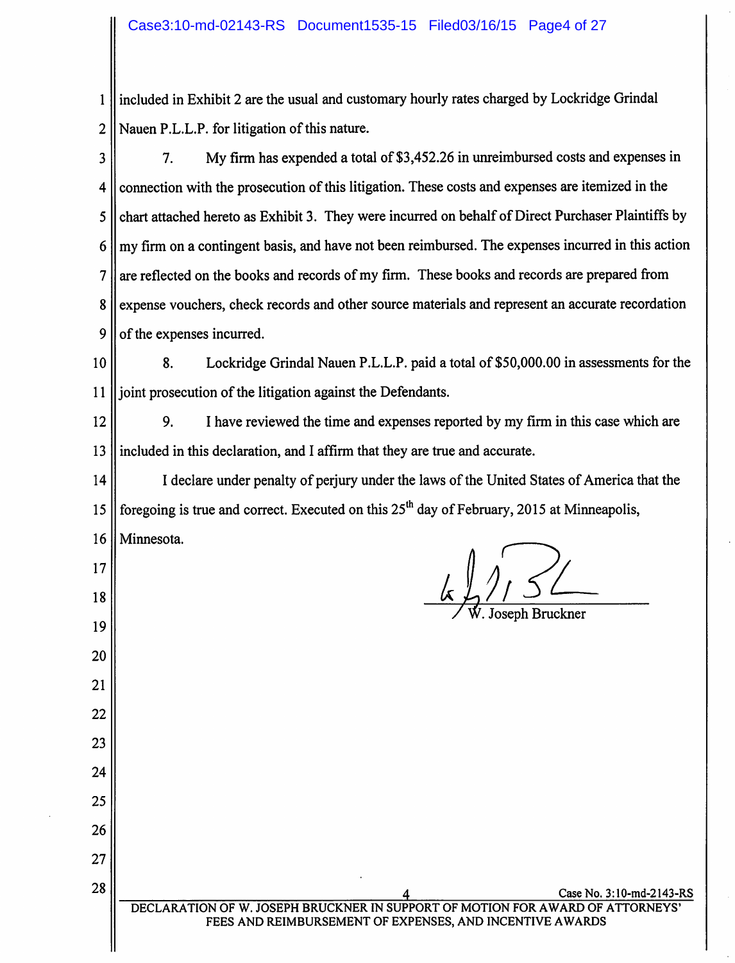included in Exhibit 2 are the usual and customary hourly rates charged by Lockridge Grindal  $\mathbf{1}$  $\overline{2}$ Nauen P.L.L.P. for litigation of this nature.

 $\overline{\mathbf{3}}$ 7. My firm has expended a total of \$3,452.26 in unreimbursed costs and expenses in connection with the prosecution of this litigation. These costs and expenses are itemized in the 4 chart attached hereto as Exhibit 3. They were incurred on behalf of Direct Purchaser Plaintiffs by 5 my firm on a contingent basis, and have not been reimbursed. The expenses incurred in this action 6 are reflected on the books and records of my firm. These books and records are prepared from  $\overline{7}$ 8 expense vouchers, check records and other source materials and represent an accurate recordation 9 of the expenses incurred.

Lockridge Grindal Nauen P.L.L.P. paid a total of \$50,000.00 in assessments for the 10 8. joint prosecution of the litigation against the Defendants.  $11$ 

12 9. I have reviewed the time and expenses reported by my firm in this case which are included in this declaration, and I affirm that they are true and accurate. 13

I declare under penalty of perjury under the laws of the United States of America that the 14 foregoing is true and correct. Executed on this 25<sup>th</sup> day of February, 2015 at Minneapolis, 15

16

17

18

19

20

21

22

23

24

25

26

27

28

Minnesota.

senh Bruckner

Case No. 3:10-md-2143-RS DECLARATION OF W. JOSEPH BRUCKNER IN SUPPORT OF MOTION FOR AWARD OF ATTORNEYS FEES AND REIMBURSEMENT OF EXPENSES, AND INCENTIVE AWARDS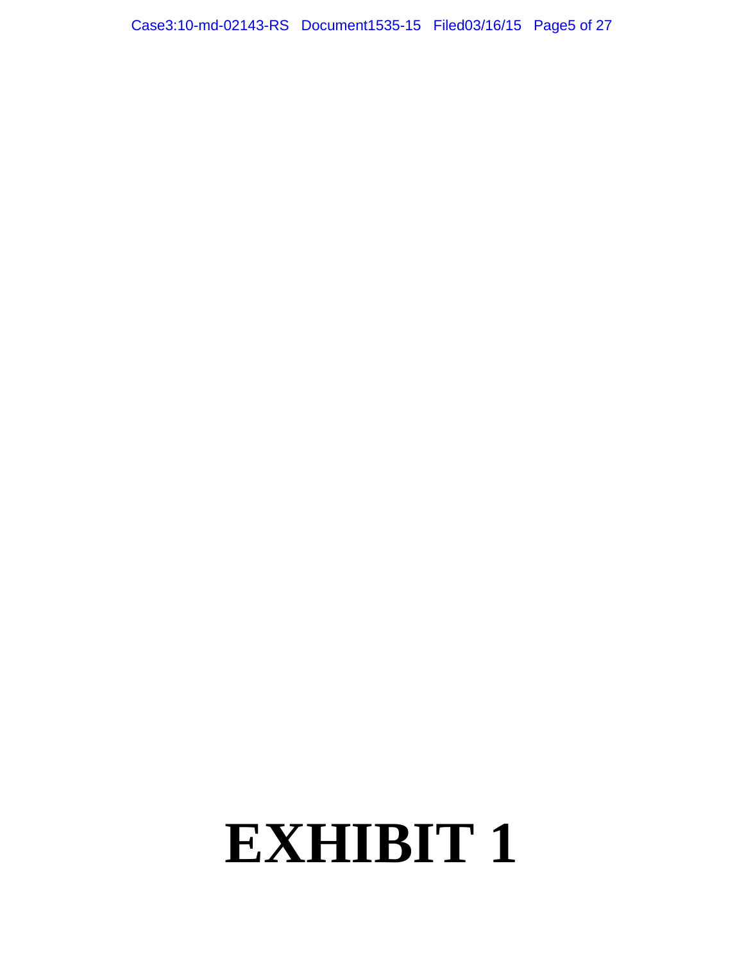Case3:10-md-02143-RS Document1535-15 Filed03/16/15 Page5 of 27

## **EXHIBIT 1**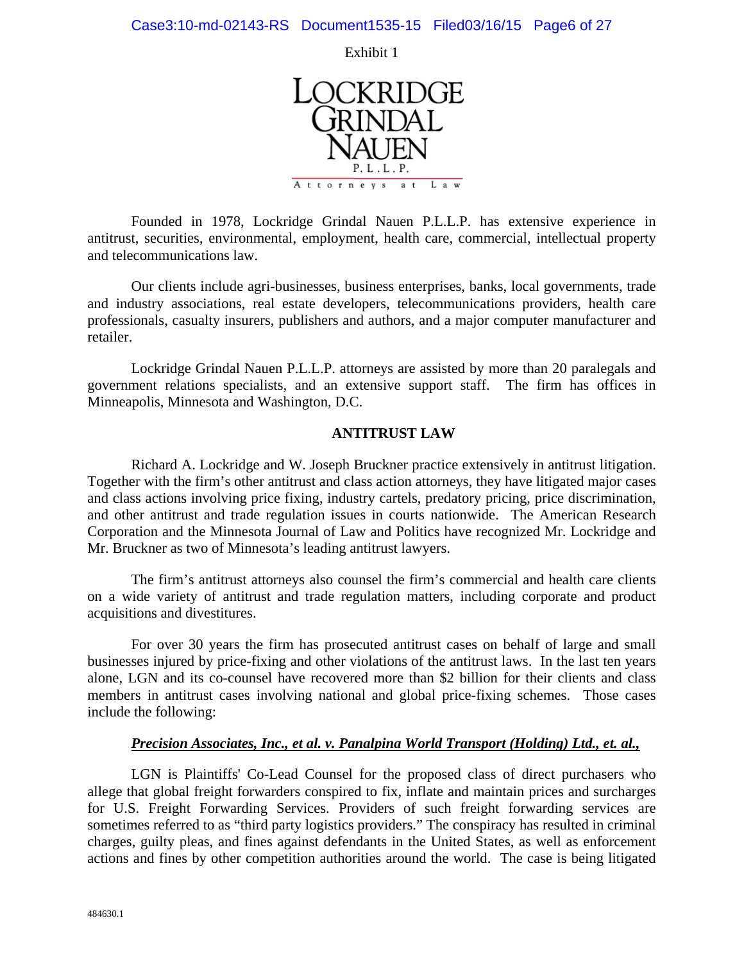Exhibit 1



Founded in 1978, Lockridge Grindal Nauen P.L.L.P. has extensive experience in antitrust, securities, environmental, employment, health care, commercial, intellectual property and telecommunications law.

Our clients include agri-businesses, business enterprises, banks, local governments, trade and industry associations, real estate developers, telecommunications providers, health care professionals, casualty insurers, publishers and authors, and a major computer manufacturer and retailer.

Lockridge Grindal Nauen P.L.L.P. attorneys are assisted by more than 20 paralegals and government relations specialists, and an extensive support staff. The firm has offices in Minneapolis, Minnesota and Washington, D.C.

#### **ANTITRUST LAW**

Richard A. Lockridge and W. Joseph Bruckner practice extensively in antitrust litigation. Together with the firm's other antitrust and class action attorneys, they have litigated major cases and class actions involving price fixing, industry cartels, predatory pricing, price discrimination, and other antitrust and trade regulation issues in courts nationwide. The American Research Corporation and the Minnesota Journal of Law and Politics have recognized Mr. Lockridge and Mr. Bruckner as two of Minnesota's leading antitrust lawyers.

The firm's antitrust attorneys also counsel the firm's commercial and health care clients on a wide variety of antitrust and trade regulation matters, including corporate and product acquisitions and divestitures.

For over 30 years the firm has prosecuted antitrust cases on behalf of large and small businesses injured by price-fixing and other violations of the antitrust laws. In the last ten years alone, LGN and its co-counsel have recovered more than \$2 billion for their clients and class members in antitrust cases involving national and global price-fixing schemes. Those cases include the following:

### *Precision Associates, Inc., et al. v. Panalpina World Transport (Holding) Ltd., et. al.,*

LGN is Plaintiffs' Co-Lead Counsel for the proposed class of direct purchasers who allege that global freight forwarders conspired to fix, inflate and maintain prices and surcharges for U.S. Freight Forwarding Services. Providers of such freight forwarding services are sometimes referred to as "third party logistics providers." The conspiracy has resulted in criminal charges, guilty pleas, and fines against defendants in the United States, as well as enforcement actions and fines by other competition authorities around the world. The case is being litigated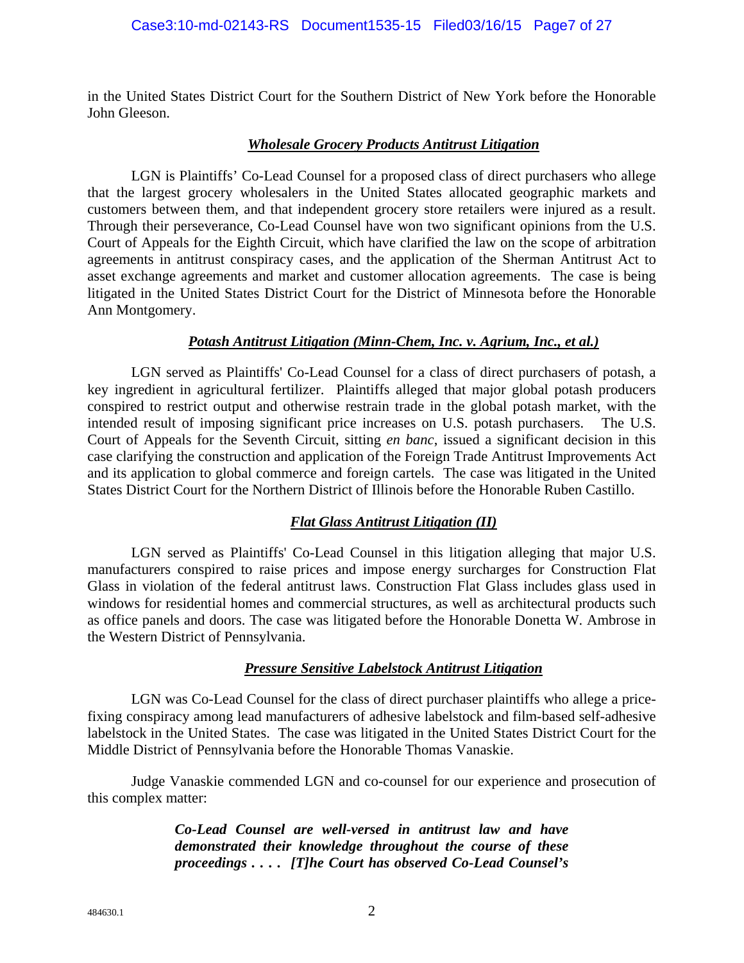in the United States District Court for the Southern District of New York before the Honorable John Gleeson.

#### *Wholesale Grocery Products Antitrust Litigation*

LGN is Plaintiffs' Co-Lead Counsel for a proposed class of direct purchasers who allege that the largest grocery wholesalers in the United States allocated geographic markets and customers between them, and that independent grocery store retailers were injured as a result. Through their perseverance, Co-Lead Counsel have won two significant opinions from the U.S. Court of Appeals for the Eighth Circuit, which have clarified the law on the scope of arbitration agreements in antitrust conspiracy cases, and the application of the Sherman Antitrust Act to asset exchange agreements and market and customer allocation agreements. The case is being litigated in the United States District Court for the District of Minnesota before the Honorable Ann Montgomery.

#### *Potash Antitrust Litigation (Minn-Chem, Inc. v. Agrium, Inc., et al.)*

LGN served as Plaintiffs' Co-Lead Counsel for a class of direct purchasers of potash, a key ingredient in agricultural fertilizer. Plaintiffs alleged that major global potash producers conspired to restrict output and otherwise restrain trade in the global potash market, with the intended result of imposing significant price increases on U.S. potash purchasers. The U.S. Court of Appeals for the Seventh Circuit, sitting *en banc*, issued a significant decision in this case clarifying the construction and application of the Foreign Trade Antitrust Improvements Act and its application to global commerce and foreign cartels. The case was litigated in the United States District Court for the Northern District of Illinois before the Honorable Ruben Castillo.

### *Flat Glass Antitrust Litigation (II)*

LGN served as Plaintiffs' Co-Lead Counsel in this litigation alleging that major U.S. manufacturers conspired to raise prices and impose energy surcharges for Construction Flat Glass in violation of the federal antitrust laws. Construction Flat Glass includes glass used in windows for residential homes and commercial structures, as well as architectural products such as office panels and doors. The case was litigated before the Honorable Donetta W. Ambrose in the Western District of Pennsylvania.

### *Pressure Sensitive Labelstock Antitrust Litigation*

LGN was Co-Lead Counsel for the class of direct purchaser plaintiffs who allege a pricefixing conspiracy among lead manufacturers of adhesive labelstock and film-based self-adhesive labelstock in the United States. The case was litigated in the United States District Court for the Middle District of Pennsylvania before the Honorable Thomas Vanaskie.

Judge Vanaskie commended LGN and co-counsel for our experience and prosecution of this complex matter:

> *Co-Lead Counsel are well-versed in antitrust law and have demonstrated their knowledge throughout the course of these proceedings . . . . [T]he Court has observed Co-Lead Counsel's*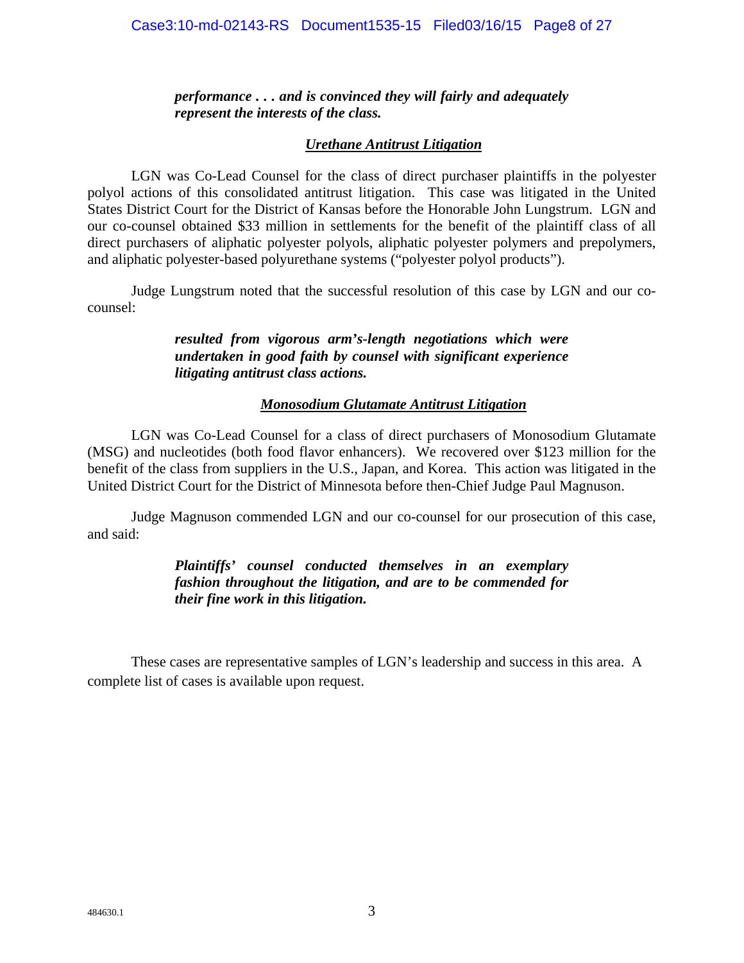#### Case3:10-md-02143-RS Document1535-15 Filed03/16/15 Page8 of 27

*performance . . . and is convinced they will fairly and adequately represent the interests of the class.* 

#### *Urethane Antitrust Litigation*

LGN was Co-Lead Counsel for the class of direct purchaser plaintiffs in the polyester polyol actions of this consolidated antitrust litigation. This case was litigated in the United States District Court for the District of Kansas before the Honorable John Lungstrum. LGN and our co-counsel obtained \$33 million in settlements for the benefit of the plaintiff class of all direct purchasers of aliphatic polyester polyols, aliphatic polyester polymers and prepolymers, and aliphatic polyester-based polyurethane systems ("polyester polyol products").

Judge Lungstrum noted that the successful resolution of this case by LGN and our cocounsel:

#### *resulted from vigorous arm's-length negotiations which were undertaken in good faith by counsel with significant experience litigating antitrust class actions.*

#### *Monosodium Glutamate Antitrust Litigation*

LGN was Co-Lead Counsel for a class of direct purchasers of Monosodium Glutamate (MSG) and nucleotides (both food flavor enhancers). We recovered over \$123 million for the benefit of the class from suppliers in the U.S., Japan, and Korea. This action was litigated in the United District Court for the District of Minnesota before then-Chief Judge Paul Magnuson.

Judge Magnuson commended LGN and our co-counsel for our prosecution of this case, and said:

#### *Plaintiffs' counsel conducted themselves in an exemplary fashion throughout the litigation, and are to be commended for their fine work in this litigation.*

 These cases are representative samples of LGN's leadership and success in this area. A complete list of cases is available upon request.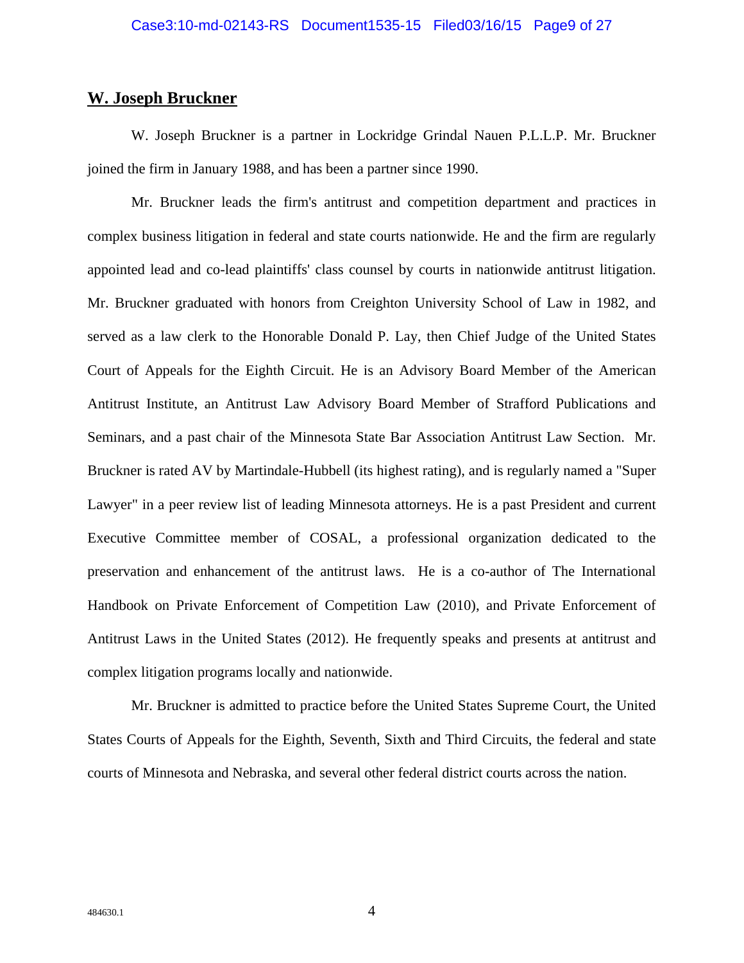## **W. Joseph Bruckner**

W. Joseph Bruckner is a partner in Lockridge Grindal Nauen P.L.L.P. Mr. Bruckner joined the firm in January 1988, and has been a partner since 1990.

Mr. Bruckner leads the firm's antitrust and competition department and practices in complex business litigation in federal and state courts nationwide. He and the firm are regularly appointed lead and co-lead plaintiffs' class counsel by courts in nationwide antitrust litigation. Mr. Bruckner graduated with honors from Creighton University School of Law in 1982, and served as a law clerk to the Honorable Donald P. Lay, then Chief Judge of the United States Court of Appeals for the Eighth Circuit. He is an Advisory Board Member of the American Antitrust Institute, an Antitrust Law Advisory Board Member of Strafford Publications and Seminars, and a past chair of the Minnesota State Bar Association Antitrust Law Section. Mr. Bruckner is rated AV by Martindale-Hubbell (its highest rating), and is regularly named a "Super Lawyer" in a peer review list of leading Minnesota attorneys. He is a past President and current Executive Committee member of COSAL, a professional organization dedicated to the preservation and enhancement of the antitrust laws. He is a co-author of The International Handbook on Private Enforcement of Competition Law (2010), and Private Enforcement of Antitrust Laws in the United States (2012). He frequently speaks and presents at antitrust and complex litigation programs locally and nationwide.

Mr. Bruckner is admitted to practice before the United States Supreme Court, the United States Courts of Appeals for the Eighth, Seventh, Sixth and Third Circuits, the federal and state courts of Minnesota and Nebraska, and several other federal district courts across the nation.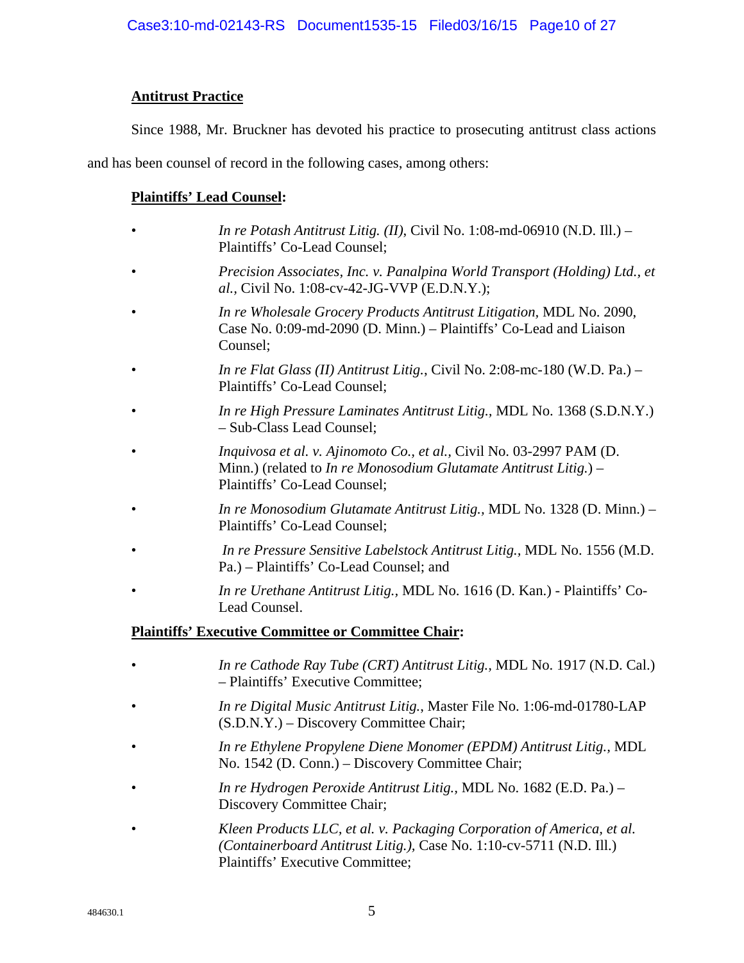### **Antitrust Practice**

Since 1988, Mr. Bruckner has devoted his practice to prosecuting antitrust class actions

and has been counsel of record in the following cases, among others:

#### **Plaintiffs' Lead Counsel:**

- *In re Potash Antitrust Litig. (II)*, Civil No. 1:08-md-06910 (N.D. Ill.) Plaintiffs' Co-Lead Counsel;
- *Precision Associates, Inc. v. Panalpina World Transport (Holding) Ltd., et al.,* Civil No. 1:08-cv-42-JG-VVP (E.D.N.Y.);
- *In re Wholesale Grocery Products Antitrust Litigation,* MDL No. 2090, Case No. 0:09-md-2090 (D. Minn.) – Plaintiffs' Co-Lead and Liaison Counsel;
- *In re Flat Glass (II) Antitrust Litig.*, Civil No. 2:08-mc-180 (W.D. Pa.) Plaintiffs' Co-Lead Counsel;
- *In re High Pressure Laminates Antitrust Litig.,* MDL No. 1368 (S.D.N.Y.) – Sub-Class Lead Counsel;
- *Inquivosa et al. v. Ajinomoto Co., et al.,* Civil No. 03-2997 PAM (D. Minn.) (related to *In re Monosodium Glutamate Antitrust Litig.*) – Plaintiffs' Co-Lead Counsel;
- *In re Monosodium Glutamate Antitrust Litig.,* MDL No. 1328 (D. Minn.) Plaintiffs' Co-Lead Counsel;
- *In re Pressure Sensitive Labelstock Antitrust Litig.,* MDL No. 1556 (M.D. Pa.) – Plaintiffs' Co-Lead Counsel; and
- *In re Urethane Antitrust Litig.,* MDL No. 1616 (D. Kan.) Plaintiffs' Co-Lead Counsel.

### **Plaintiffs' Executive Committee or Committee Chair:**

- *In re Cathode Ray Tube (CRT) Antitrust Litig.,* MDL No. 1917 (N.D. Cal.) – Plaintiffs' Executive Committee;
- *In re Digital Music Antitrust Litig.*, Master File No. 1:06-md-01780-LAP (S.D.N.Y.) – Discovery Committee Chair;
- *In re Ethylene Propylene Diene Monomer (EPDM) Antitrust Litig.,* MDL No. 1542 (D. Conn.) – Discovery Committee Chair;
- *In re Hydrogen Peroxide Antitrust Litig.,* MDL No. 1682 (E.D. Pa.) Discovery Committee Chair;
- *Kleen Products LLC, et al. v. Packaging Corporation of America, et al. (Containerboard Antitrust Litig.),* Case No. 1:10-cv-5711 (N.D. Ill.) Plaintiffs' Executive Committee;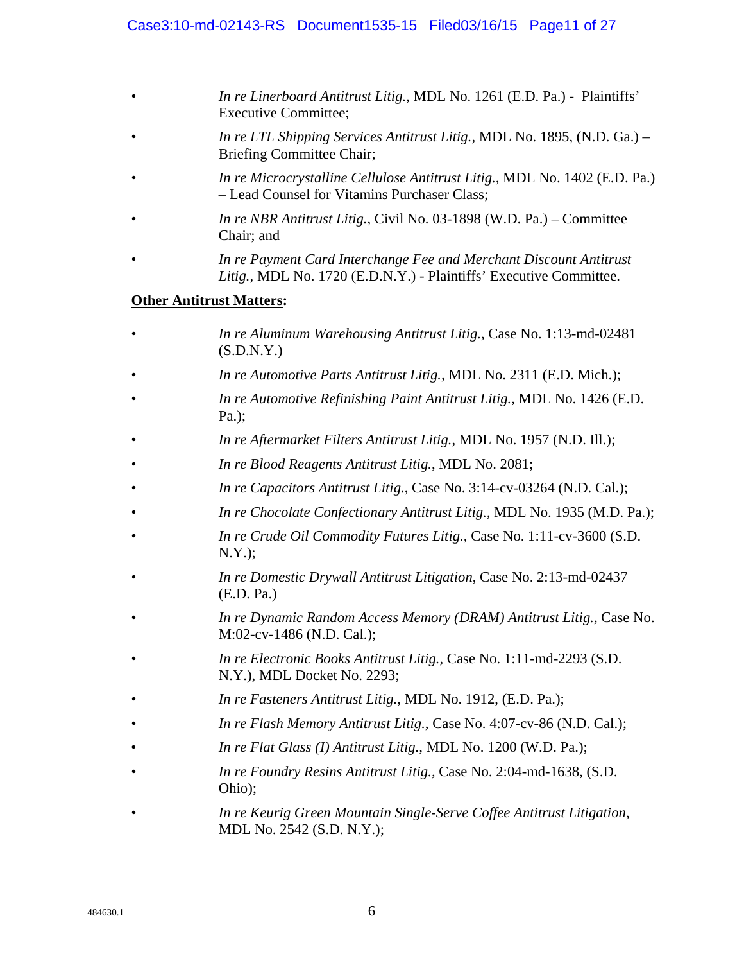- *In re Linerboard Antitrust Litig.*, MDL No. 1261 (E.D. Pa.) Plaintiffs' Executive Committee;
- *In re LTL Shipping Services Antitrust Litig.,* MDL No. 1895, (N.D. Ga.) Briefing Committee Chair;
- *In re Microcrystalline Cellulose Antitrust Litig.,* MDL No. 1402 (E.D. Pa.) – Lead Counsel for Vitamins Purchaser Class;
- *In re NBR Antitrust Litig.,* Civil No. 03-1898 (W.D. Pa.) Committee Chair; and
- *In re Payment Card Interchange Fee and Merchant Discount Antitrust Litig.,* MDL No. 1720 (E.D.N.Y.) - Plaintiffs' Executive Committee.

### **Other Antitrust Matters:**

- *In re Aluminum Warehousing Antitrust Litig.*, Case No. 1:13-md-02481  $(S.D.N.Y.)$
- *In re Automotive Parts Antitrust Litig.,* MDL No. 2311 (E.D. Mich.);
- *In re Automotive Refinishing Paint Antitrust Litig.,* MDL No. 1426 (E.D. Pa.);
- *In re Aftermarket Filters Antitrust Litig.*, MDL No. 1957 (N.D. Ill.);
- *In re Blood Reagents Antitrust Litig.*, MDL No. 2081;
- *In re Capacitors Antitrust Litig.*, Case No. 3:14-cv-03264 (N.D. Cal.);
- *In re Chocolate Confectionary Antitrust Litig.,* MDL No. 1935 (M.D. Pa.);
- *In re Crude Oil Commodity Futures Litig.,* Case No. 1:11-cv-3600 (S.D. N.Y.);
- *In re Domestic Drywall Antitrust Litigation*, Case No. 2:13-md-02437 (E.D. Pa.)
- *In re Dynamic Random Access Memory (DRAM) Antitrust Litig.,* Case No. M:02-cv-1486 (N.D. Cal.);
- *In re Electronic Books Antitrust Litig.,* Case No. 1:11-md-2293 (S.D. N.Y.), MDL Docket No. 2293;
- *In re Fasteners Antitrust Litig.,* MDL No. 1912, (E.D. Pa.);
- *In re Flash Memory Antitrust Litig.*, Case No. 4:07-cv-86 (N.D. Cal.);
- *In re Flat Glass (I) Antitrust Litig.,* MDL No. 1200 (W.D. Pa.);
- *In re Foundry Resins Antitrust Litig.,* Case No. 2:04-md-1638, (S.D. Ohio);
- *In re Keurig Green Mountain Single-Serve Coffee Antitrust Litigation*, MDL No. 2542 (S.D. N.Y.);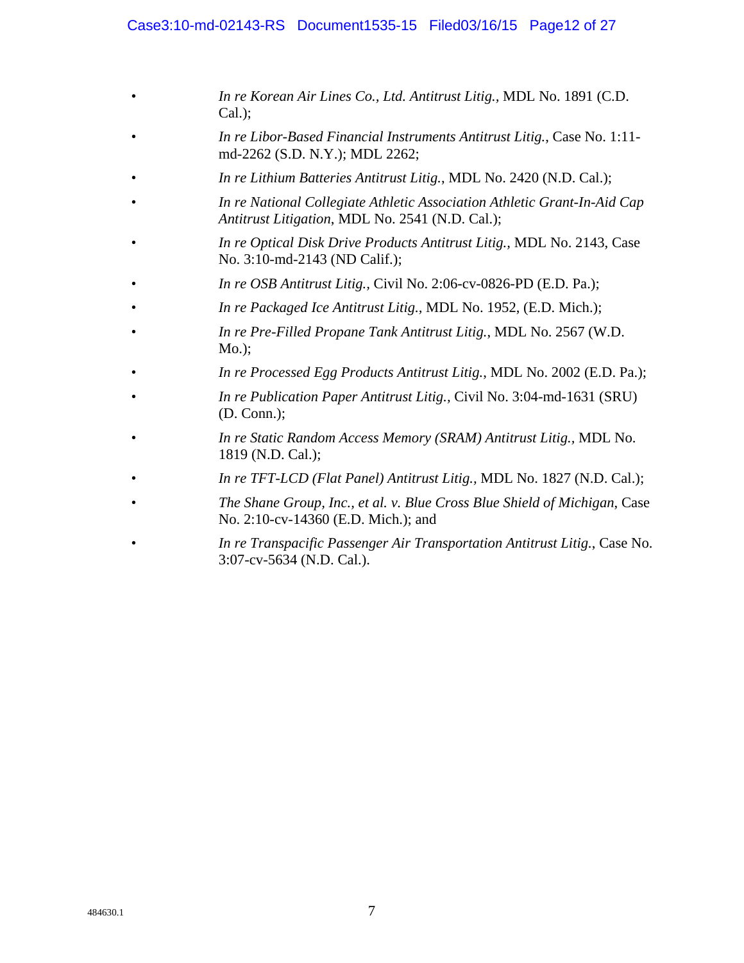#### Case3:10-md-02143-RS Document1535-15 Filed03/16/15 Page12 of 27

- *In re Korean Air Lines Co., Ltd. Antitrust Litig.,* MDL No. 1891 (C.D. Cal.);
- *In re Libor-Based Financial Instruments Antitrust Litig.*, Case No. 1:11 md-2262 (S.D. N.Y.); MDL 2262;
- *In re Lithium Batteries Antitrust Litig.*, MDL No. 2420 (N.D. Cal.);
- *In re National Collegiate Athletic Association Athletic Grant-In-Aid Cap Antitrust Litigation*, MDL No. 2541 (N.D. Cal.);
- *In re Optical Disk Drive Products Antitrust Litig.,* MDL No. 2143, Case No. 3:10-md-2143 (ND Calif.);
- *In re OSB Antitrust Litig.,* Civil No. 2:06-cv-0826-PD (E.D. Pa.);
- *In re Packaged Ice Antitrust Litig.,* MDL No. 1952, (E.D. Mich.);
- *In re Pre-Filled Propane Tank Antitrust Litig.*, MDL No. 2567 (W.D. Mo.);
- *In re Processed Egg Products Antitrust Litig.*, MDL No. 2002 (E.D. Pa.);
- *In re Publication Paper Antitrust Litig.,* Civil No. 3:04-md-1631 (SRU) (D. Conn.);
- *In re Static Random Access Memory (SRAM) Antitrust Litig.,* MDL No. 1819 (N.D. Cal.);
- *In re TFT-LCD (Flat Panel) Antitrust Litig.,* MDL No. 1827 (N.D. Cal.);
- *The Shane Group, Inc., et al. v. Blue Cross Blue Shield of Michigan*, Case No. 2:10-cv-14360 (E.D. Mich.); and
- *In re Transpacific Passenger Air Transportation Antitrust Litig.*, Case No. 3:07-cv-5634 (N.D. Cal.).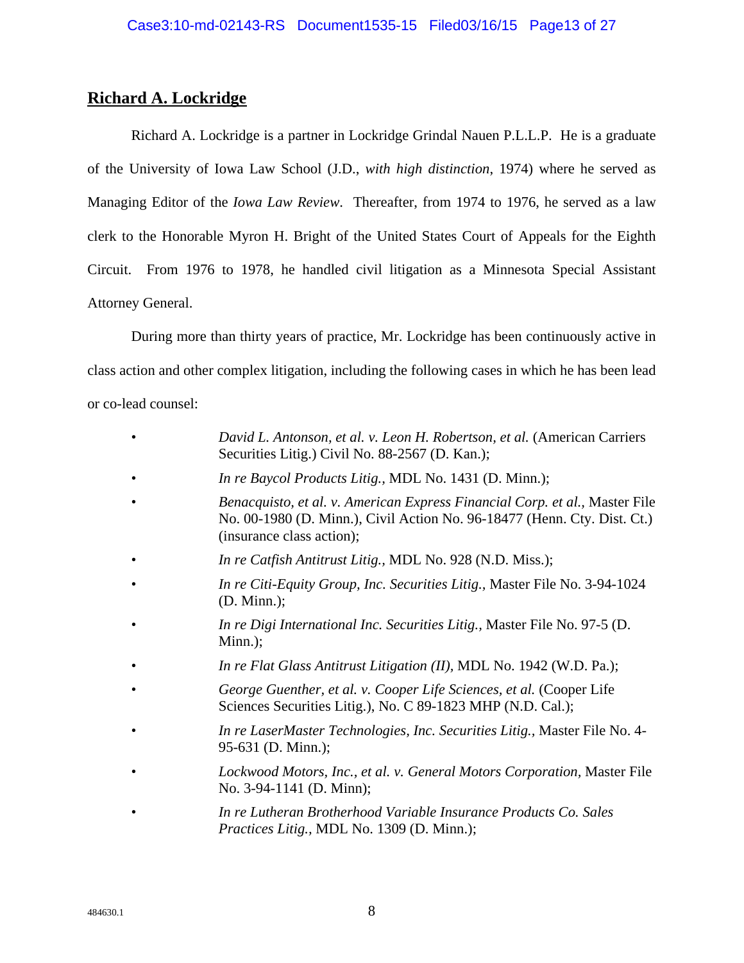## **Richard A. Lockridge**

 Richard A. Lockridge is a partner in Lockridge Grindal Nauen P.L.L.P. He is a graduate of the University of Iowa Law School (J.D., *with high distinction*, 1974) where he served as Managing Editor of the *Iowa Law Review*. Thereafter, from 1974 to 1976, he served as a law clerk to the Honorable Myron H. Bright of the United States Court of Appeals for the Eighth Circuit. From 1976 to 1978, he handled civil litigation as a Minnesota Special Assistant Attorney General.

 During more than thirty years of practice, Mr. Lockridge has been continuously active in class action and other complex litigation, including the following cases in which he has been lead or co-lead counsel:

- *David L. Antonson, et al. v. Leon H. Robertson, et al.* (American Carriers Securities Litig.) Civil No. 88-2567 (D. Kan.);
- *In re Baycol Products Litig.,* MDL No. 1431 (D. Minn.);
- *Benacquisto, et al. v. American Express Financial Corp. et al.,* Master File No. 00-1980 (D. Minn.), Civil Action No. 96-18477 (Henn. Cty. Dist. Ct.) (insurance class action);
- *In re Catfish Antitrust Litig.,* MDL No. 928 (N.D. Miss.);
- *In re Citi-Equity Group, Inc. Securities Litig.,* Master File No. 3-94-1024 (D. Minn.);
- *In re Digi International Inc. Securities Litig.,* Master File No. 97-5 (D. Minn.);
- *In re Flat Glass Antitrust Litigation (II),* MDL No. 1942 (W.D. Pa.);
- *George Guenther, et al. v. Cooper Life Sciences, et al.* (Cooper Life Sciences Securities Litig.), No. C 89-1823 MHP (N.D. Cal.);
- *In re LaserMaster Technologies, Inc. Securities Litig.,* Master File No. 4- 95-631 (D. Minn.);
- *Lockwood Motors, Inc., et al. v. General Motors Corporation,* Master File No. 3-94-1141 (D. Minn);
- *In re Lutheran Brotherhood Variable Insurance Products Co. Sales Practices Litig.,* MDL No. 1309 (D. Minn.);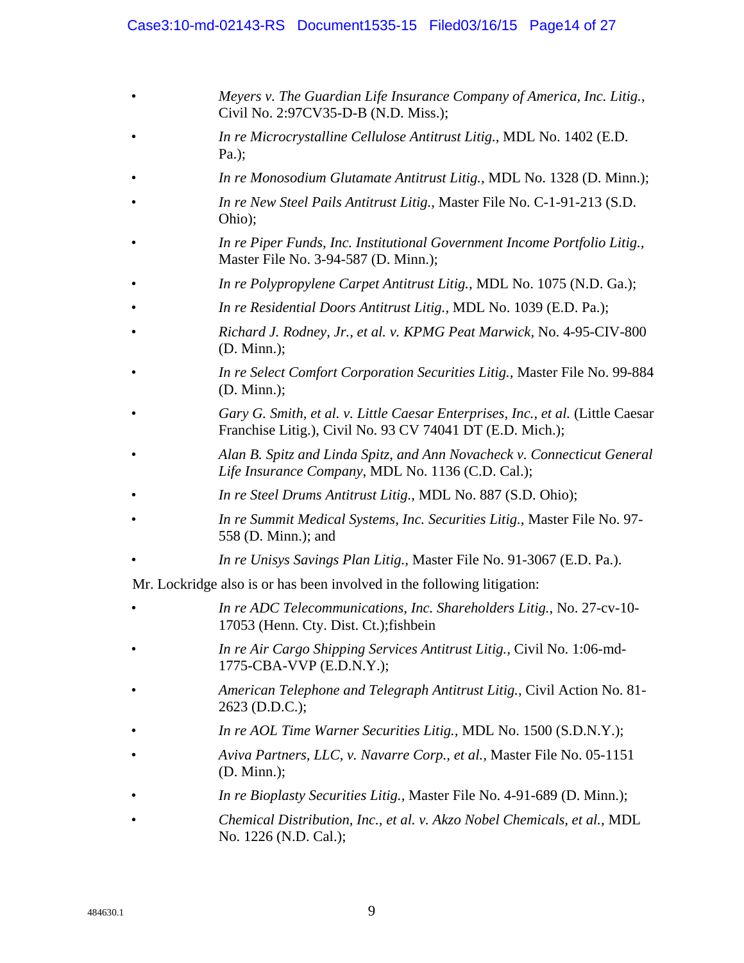#### Case3:10-md-02143-RS Document1535-15 Filed03/16/15 Page14 of 27

- *Meyers v. The Guardian Life Insurance Company of America, Inc. Litig.,* Civil No. 2:97CV35-D-B (N.D. Miss.);
- *In re Microcrystalline Cellulose Antitrust Litig.,* MDL No. 1402 (E.D. Pa.);
- *In re Monosodium Glutamate Antitrust Litig.,* MDL No. 1328 (D. Minn.);
- *In re New Steel Pails Antitrust Litig.,* Master File No. C-1-91-213 (S.D. Ohio);
- *In re Piper Funds, Inc. Institutional Government Income Portfolio Litig.,* Master File No. 3-94-587 (D. Minn.);
- *In re Polypropylene Carpet Antitrust Litig.,* MDL No. 1075 (N.D. Ga.);
- *In re Residential Doors Antitrust Litig.,* MDL No. 1039 (E.D. Pa.);
- *Richard J. Rodney, Jr., et al. v. KPMG Peat Marwick,* No. 4-95-CIV-800 (D. Minn.);
- *In re Select Comfort Corporation Securities Litig.,* Master File No. 99-884 (D. Minn.);
- *Gary G. Smith, et al. v. Little Caesar Enterprises, Inc., et al.* (Little Caesar Franchise Litig.), Civil No. 93 CV 74041 DT (E.D. Mich.);
- *Alan B. Spitz and Linda Spitz, and Ann Novacheck v. Connecticut General Life Insurance Company*, MDL No. 1136 (C.D. Cal.);
- *In re Steel Drums Antitrust Litig.,* MDL No. 887 (S.D. Ohio);
- *In re Summit Medical Systems, Inc. Securities Litig.,* Master File No. 97- 558 (D. Minn.); and
- *In re Unisys Savings Plan Litig.,* Master File No. 91-3067 (E.D. Pa.).

Mr. Lockridge also is or has been involved in the following litigation:

- *In re ADC Telecommunications, Inc. Shareholders Litig.,* No. 27-cv-10- 17053 (Henn. Cty. Dist. Ct.);fishbein
- *In re Air Cargo Shipping Services Antitrust Litig.,* Civil No. 1:06-md-1775-CBA-VVP (E.D.N.Y.);
- *American Telephone and Telegraph Antitrust Litig.,* Civil Action No. 81- 2623 (D.D.C.);
- *In re AOL Time Warner Securities Litig.,* MDL No. 1500 (S.D.N.Y.);
- *Aviva Partners, LLC, v. Navarre Corp., et al.,* Master File No. 05-1151 (D. Minn.);
- *In re Bioplasty Securities Litig.,* Master File No. 4-91-689 (D. Minn.);
- *Chemical Distribution, Inc., et al. v. Akzo Nobel Chemicals, et al.,* MDL No. 1226 (N.D. Cal.);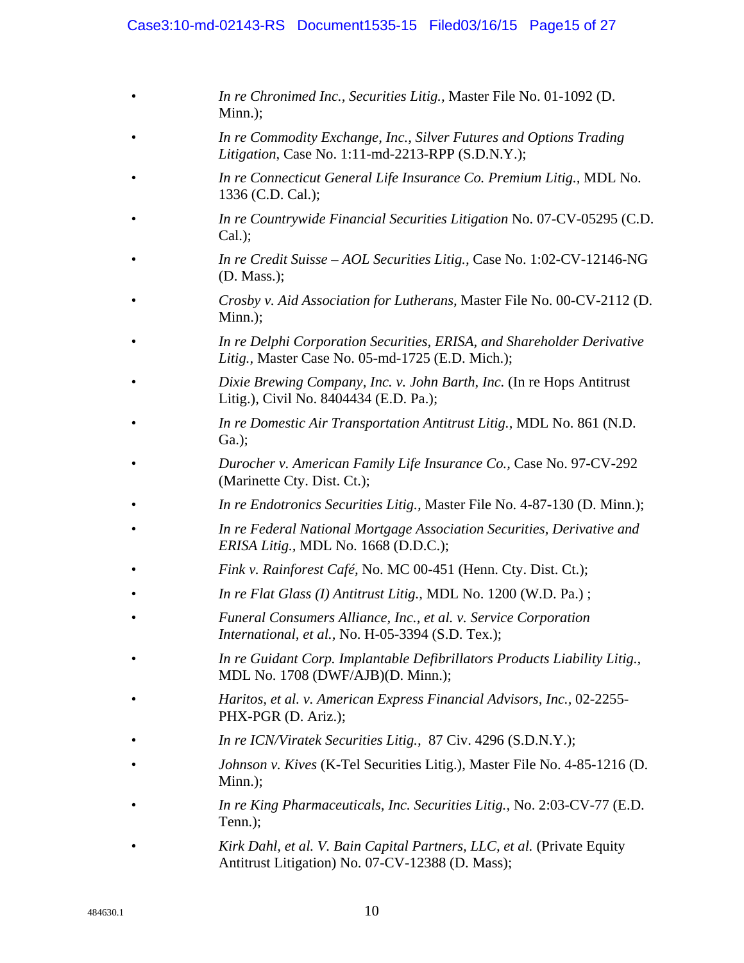#### Case3:10-md-02143-RS Document1535-15 Filed03/16/15 Page15 of 27

- *In re Chronimed Inc., Securities Litig.,* Master File No. 01-1092 (D. Minn.);
- *In re Commodity Exchange, Inc., Silver Futures and Options Trading Litigation*, Case No. 1:11-md-2213-RPP (S.D.N.Y.);
- *In re Connecticut General Life Insurance Co. Premium Litig.,* MDL No. 1336 (C.D. Cal.);
- *In re Countrywide Financial Securities Litigation* No. 07-CV-05295 (C.D. Cal.);
- *In re Credit Suisse AOL Securities Litig.,* Case No. 1:02-CV-12146-NG (D. Mass.);
- *Crosby v. Aid Association for Lutherans,* Master File No. 00-CV-2112 (D. Minn.);
- *In re Delphi Corporation Securities, ERISA, and Shareholder Derivative Litig.,* Master Case No. 05-md-1725 (E.D. Mich.);
- *Dixie Brewing Company, Inc. v. John Barth, Inc.* (In re Hops Antitrust Litig.), Civil No. 8404434 (E.D. Pa.);
- *In re Domestic Air Transportation Antitrust Litig.,* MDL No. 861 (N.D. Ga.);
- *Durocher v. American Family Life Insurance Co.,* Case No. 97-CV-292 (Marinette Cty. Dist. Ct.);
- *In re Endotronics Securities Litig.,* Master File No. 4-87-130 (D. Minn.);
- *In re Federal National Mortgage Association Securities, Derivative and ERISA Litig.,* MDL No. 1668 (D.D.C.);
- *Fink v. Rainforest Café,* No. MC 00-451 (Henn. Cty. Dist. Ct.);
- *In re Flat Glass (I) Antitrust Litig.,* MDL No. 1200 (W.D. Pa.) ;
- *Funeral Consumers Alliance, Inc., et al. v. Service Corporation International, et al.,* No. H-05-3394 (S.D. Tex.);
- *In re Guidant Corp. Implantable Defibrillators Products Liability Litig.,* MDL No. 1708 (DWF/AJB)(D. Minn.);
- *Haritos, et al. v. American Express Financial Advisors, Inc.,* 02-2255- PHX-PGR (D. Ariz.);
- *In re ICN/Viratek Securities Litig.,* 87 Civ. 4296 (S.D.N.Y.);
- *Johnson v. Kives* (K-Tel Securities Litig.), Master File No. 4-85-1216 (D. Minn.);
- *In re King Pharmaceuticals, Inc. Securities Litig.,* No. 2:03-CV-77 (E.D. Tenn.);
- *Kirk Dahl, et al. V. Bain Capital Partners, LLC, et al.* (Private Equity Antitrust Litigation) No. 07-CV-12388 (D. Mass);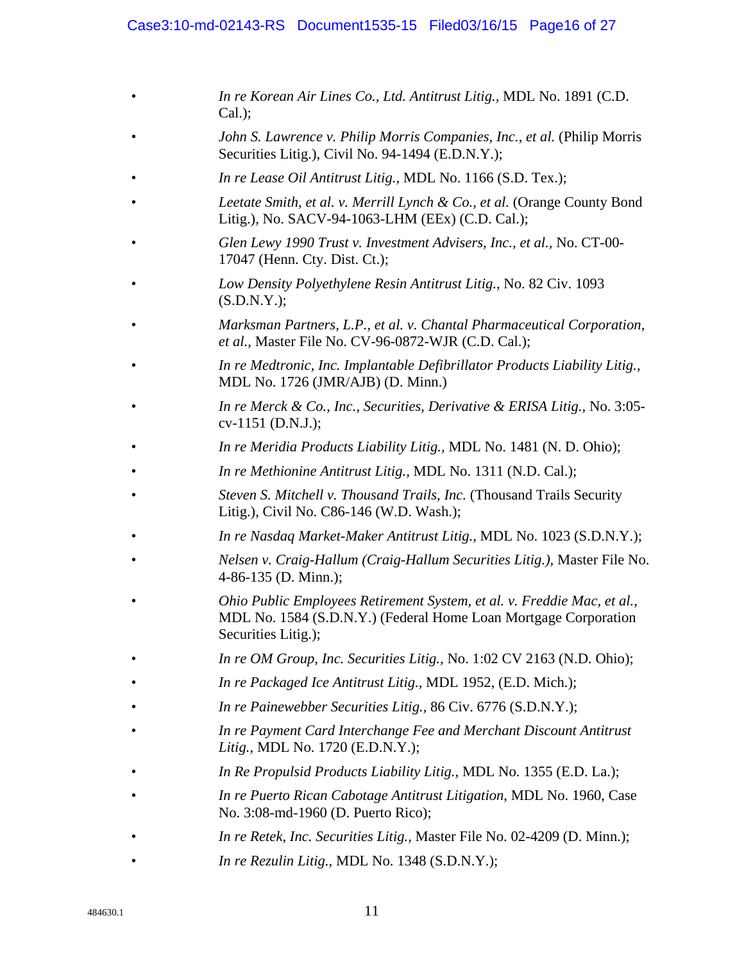#### Case3:10-md-02143-RS Document1535-15 Filed03/16/15 Page16 of 27

- *In re Korean Air Lines Co., Ltd. Antitrust Litig.,* MDL No. 1891 (C.D. Cal.);
- *John S. Lawrence v. Philip Morris Companies, Inc., et al.* (Philip Morris Securities Litig.), Civil No. 94-1494 (E.D.N.Y.);
- *In re Lease Oil Antitrust Litig.,* MDL No. 1166 (S.D. Tex.);
- *Leetate Smith, et al. v. Merrill Lynch & Co., et al.* (Orange County Bond Litig.), No. SACV-94-1063-LHM (EEx) (C.D. Cal.);
- *Glen Lewy 1990 Trust v. Investment Advisers, Inc., et al.,* No. CT-00- 17047 (Henn. Cty. Dist. Ct.);
- *Low Density Polyethylene Resin Antitrust Litig.,* No. 82 Civ. 1093 (S.D.N.Y.);
- *Marksman Partners, L.P., et al. v. Chantal Pharmaceutical Corporation, et al.,* Master File No. CV-96-0872-WJR (C.D. Cal.);
- *In re Medtronic, Inc. Implantable Defibrillator Products Liability Litig.,* MDL No. 1726 (JMR/AJB) (D. Minn.)
- *In re Merck & Co., Inc., Securities, Derivative & ERISA Litig.,* No. 3:05 cv-1151 (D.N.J.);
- *In re Meridia Products Liability Litig.,* MDL No. 1481 (N. D. Ohio);
- *In re Methionine Antitrust Litig.,* MDL No. 1311 (N.D. Cal.);
- *Steven S. Mitchell v. Thousand Trails, Inc.* (Thousand Trails Security Litig.), Civil No. C86-146 (W.D. Wash.);
- *In re Nasdaq Market-Maker Antitrust Litig.,* MDL No. 1023 (S.D.N.Y.);
- *Nelsen v. Craig-Hallum (Craig-Hallum Securities Litig.),* Master File No. 4-86-135 (D. Minn.);
- *Ohio Public Employees Retirement System, et al. v. Freddie Mac, et al.,* MDL No. 1584 (S.D.N.Y.) (Federal Home Loan Mortgage Corporation Securities Litig.);
- *In re OM Group, Inc. Securities Litig.,* No. 1:02 CV 2163 (N.D. Ohio);
- *In re Packaged Ice Antitrust Litig.,* MDL 1952, (E.D. Mich.);
- *In re Painewebber Securities Litig.,* 86 Civ. 6776 (S.D.N.Y.);
- *In re Payment Card Interchange Fee and Merchant Discount Antitrust Litig.,* MDL No. 1720 (E.D.N.Y.);
- *In Re Propulsid Products Liability Litig.,* MDL No. 1355 (E.D. La.);
- *In re Puerto Rican Cabotage Antitrust Litigation*, MDL No. 1960, Case No. 3:08-md-1960 (D. Puerto Rico);
- *In re Retek, Inc. Securities Litig.,* Master File No. 02-4209 (D. Minn.);
- *In re Rezulin Litig.,* MDL No. 1348 (S.D.N.Y.);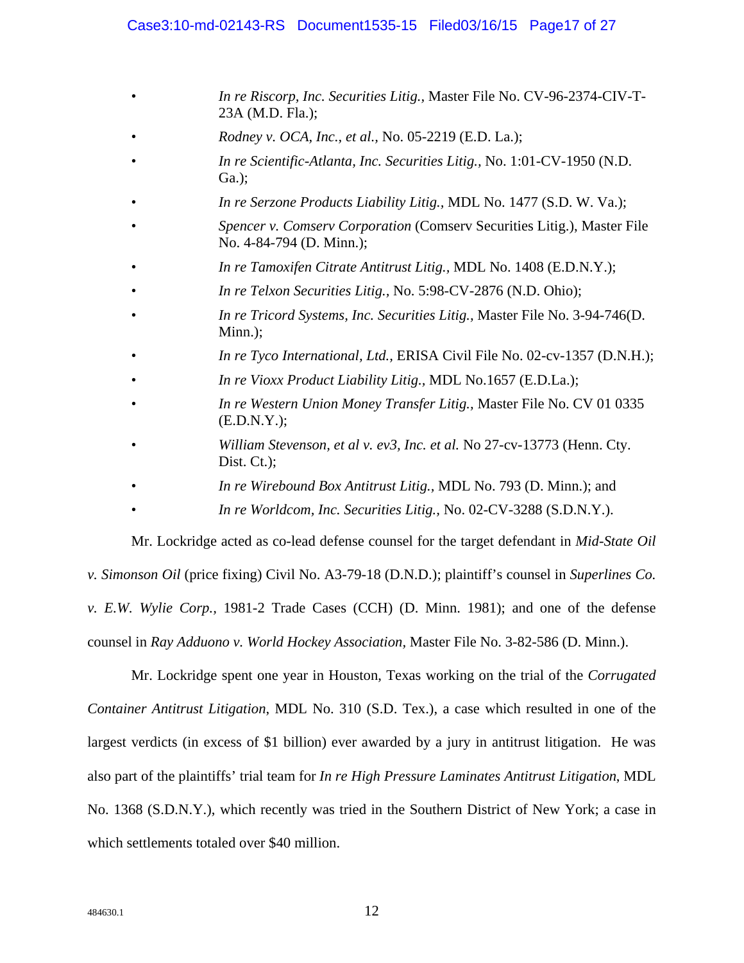#### Case3:10-md-02143-RS Document1535-15 Filed03/16/15 Page17 of 27

- *In re Riscorp, Inc. Securities Litig.,* Master File No. CV-96-2374-CIV-T-23A (M.D. Fla.);
- *Rodney v. OCA, Inc., et al.,* No. 05-2219 (E.D. La.);
- *In re Scientific-Atlanta, Inc. Securities Litig.,* No. 1:01-CV-1950 (N.D. Ga.);
- *In re Serzone Products Liability Litig.,* MDL No. 1477 (S.D. W. Va.);
- *Spencer v. Comserv Corporation* (Comserv Securities Litig.), Master File No. 4-84-794 (D. Minn.);
- *In re Tamoxifen Citrate Antitrust Litig.,* MDL No. 1408 (E.D.N.Y.);
- *In re Telxon Securities Litig.,* No. 5:98-CV-2876 (N.D. Ohio);
- *In re Tricord Systems, Inc. Securities Litig.,* Master File No. 3-94-746(D. Minn.);
- *In re Tyco International, Ltd.,* ERISA Civil File No. 02-cv-1357 (D.N.H.);
- *In re Vioxx Product Liability Litig.,* MDL No.1657 (E.D.La.);
- *In re Western Union Money Transfer Litig.,* Master File No. CV 01 0335 (E.D.N.Y.);
- *William Stevenson, et al v. ev3, Inc. et al.* No 27-cv-13773 (Henn. Cty. Dist. Ct.);
- *In re Wirebound Box Antitrust Litig.,* MDL No. 793 (D. Minn.); and
- *In re Worldcom, Inc. Securities Litig.,* No. 02-CV-3288 (S.D.N.Y.).

 Mr. Lockridge acted as co-lead defense counsel for the target defendant in *Mid-State Oil v. Simonson Oil* (price fixing) Civil No. A3-79-18 (D.N.D.); plaintiff's counsel in *Superlines Co. v. E.W. Wylie Corp.,* 1981-2 Trade Cases (CCH) (D. Minn. 1981); and one of the defense counsel in *Ray Adduono v. World Hockey Association,* Master File No. 3-82-586 (D. Minn.).

 Mr. Lockridge spent one year in Houston, Texas working on the trial of the *Corrugated Container Antitrust Litigation*, MDL No. 310 (S.D. Tex.), a case which resulted in one of the largest verdicts (in excess of \$1 billion) ever awarded by a jury in antitrust litigation. He was also part of the plaintiffs' trial team for *In re High Pressure Laminates Antitrust Litigation*, MDL No. 1368 (S.D.N.Y.), which recently was tried in the Southern District of New York; a case in which settlements totaled over \$40 million.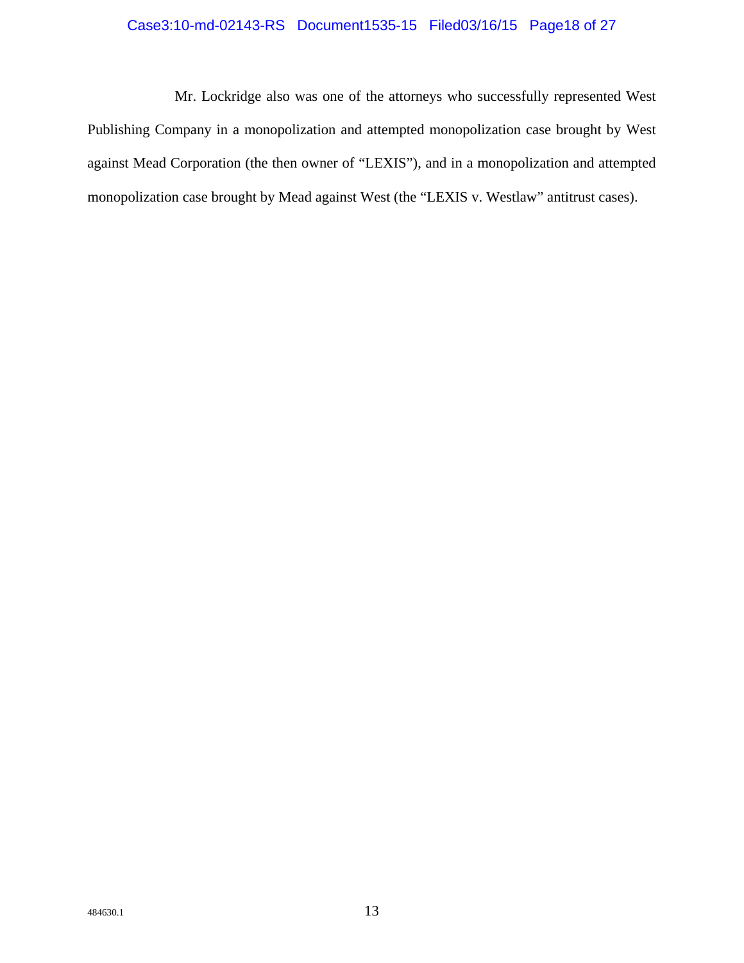### Case3:10-md-02143-RS Document1535-15 Filed03/16/15 Page18 of 27

 Mr. Lockridge also was one of the attorneys who successfully represented West Publishing Company in a monopolization and attempted monopolization case brought by West against Mead Corporation (the then owner of "LEXIS"), and in a monopolization and attempted monopolization case brought by Mead against West (the "LEXIS v. Westlaw" antitrust cases).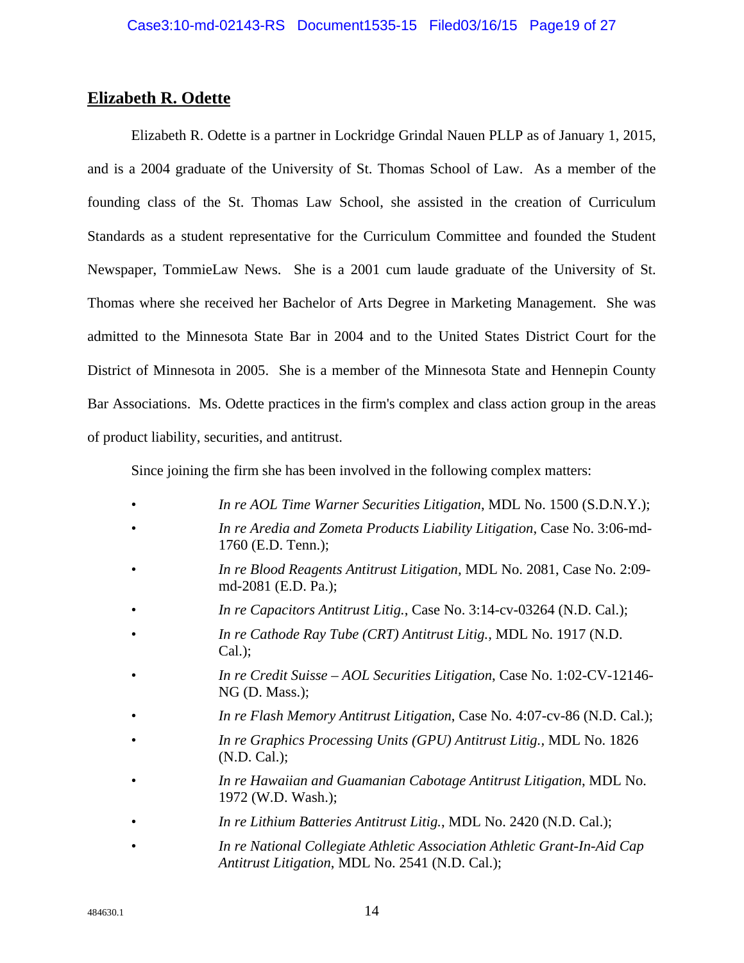## **Elizabeth R. Odette**

Elizabeth R. Odette is a partner in Lockridge Grindal Nauen PLLP as of January 1, 2015, and is a 2004 graduate of the University of St. Thomas School of Law. As a member of the founding class of the St. Thomas Law School, she assisted in the creation of Curriculum Standards as a student representative for the Curriculum Committee and founded the Student Newspaper, TommieLaw News. She is a 2001 cum laude graduate of the University of St. Thomas where she received her Bachelor of Arts Degree in Marketing Management. She was admitted to the Minnesota State Bar in 2004 and to the United States District Court for the District of Minnesota in 2005. She is a member of the Minnesota State and Hennepin County Bar Associations. Ms. Odette practices in the firm's complex and class action group in the areas of product liability, securities, and antitrust.

Since joining the firm she has been involved in the following complex matters:

- *In re AOL Time Warner Securities Litigation*, MDL No. 1500 (S.D.N.Y.);
- *In re Aredia and Zometa Products Liability Litigation*, Case No. 3:06-md-1760 (E.D. Tenn.);
- *In re Blood Reagents Antitrust Litigation,* MDL No. 2081, Case No. 2:09 md-2081 (E.D. Pa.);
- *In re Capacitors Antitrust Litig.*, Case No. 3:14-cv-03264 (N.D. Cal.);
- *In re Cathode Ray Tube (CRT) Antitrust Litig.,* MDL No. 1917 (N.D. Cal.);
- *In re Credit Suisse AOL Securities Litigation*, Case No. 1:02-CV-12146- NG (D. Mass.);
- *In re Flash Memory Antitrust Litigation*, Case No. 4:07-cv-86 (N.D. Cal.);
- *In re Graphics Processing Units (GPU) Antitrust Litig.,* MDL No. 1826 (N.D. Cal.);
- *In re Hawaiian and Guamanian Cabotage Antitrust Litigation*, MDL No. 1972 (W.D. Wash.);
- *In re Lithium Batteries Antitrust Litig.*, MDL No. 2420 (N.D. Cal.);
- *In re National Collegiate Athletic Association Athletic Grant-In-Aid Cap Antitrust Litigation*, MDL No. 2541 (N.D. Cal.);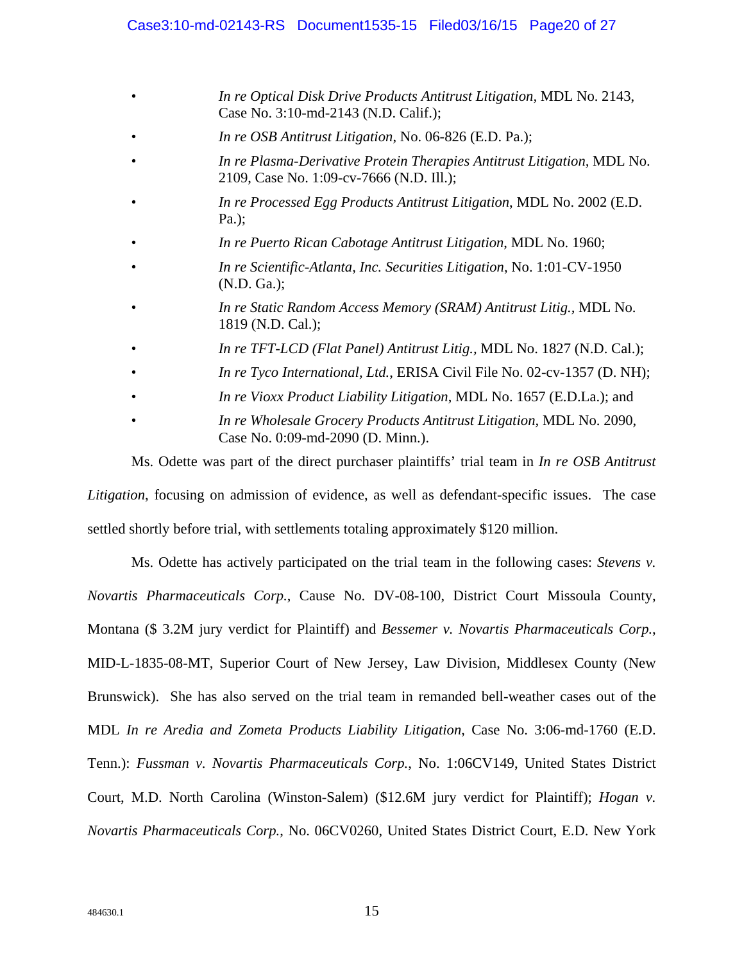- *In re Optical Disk Drive Products Antitrust Litigation,* MDL No. 2143, Case No. 3:10-md-2143 (N.D. Calif.);
- *In re OSB Antitrust Litigation*, No. 06-826 (E.D. Pa.);
- *In re Plasma-Derivative Protein Therapies Antitrust Litigation,* MDL No. 2109, Case No. 1:09-cv-7666 (N.D. Ill.);
- *In re Processed Egg Products Antitrust Litigation*, MDL No. 2002 (E.D. Pa.);
- *In re Puerto Rican Cabotage Antitrust Litigation*, MDL No. 1960;
- *In re Scientific-Atlanta, Inc. Securities Litigation*, No. 1:01-CV-1950 (N.D. Ga.);
- *In re Static Random Access Memory (SRAM) Antitrust Litig.,* MDL No. 1819 (N.D. Cal.);
- *In re TFT-LCD (Flat Panel) Antitrust Litig.,* MDL No. 1827 (N.D. Cal.);
- *In re Tyco International, Ltd., ERISA Civil File No. 02-cv-1357 (D. NH);*
- *In re Vioxx Product Liability Litigation*, MDL No. 1657 (E.D.La.); and
- *In re Wholesale Grocery Products Antitrust Litigation,* MDL No. 2090, Case No. 0:09-md-2090 (D. Minn.).

Ms. Odette was part of the direct purchaser plaintiffs' trial team in *In re OSB Antitrust Litigation*, focusing on admission of evidence, as well as defendant-specific issues. The case settled shortly before trial, with settlements totaling approximately \$120 million.

Ms. Odette has actively participated on the trial team in the following cases: *Stevens v. Novartis Pharmaceuticals Corp.*, Cause No. DV-08-100, District Court Missoula County, Montana (\$ 3.2M jury verdict for Plaintiff) and *Bessemer v. Novartis Pharmaceuticals Corp.*, MID-L-1835-08-MT, Superior Court of New Jersey, Law Division, Middlesex County (New Brunswick). She has also served on the trial team in remanded bell-weather cases out of the MDL *In re Aredia and Zometa Products Liability Litigation*, Case No. 3:06-md-1760 (E.D. Tenn.): *Fussman v. Novartis Pharmaceuticals Corp.*, No. 1:06CV149, United States District Court, M.D. North Carolina (Winston-Salem) (\$12.6M jury verdict for Plaintiff); *Hogan v. Novartis Pharmaceuticals Corp.*, No. 06CV0260, United States District Court, E.D. New York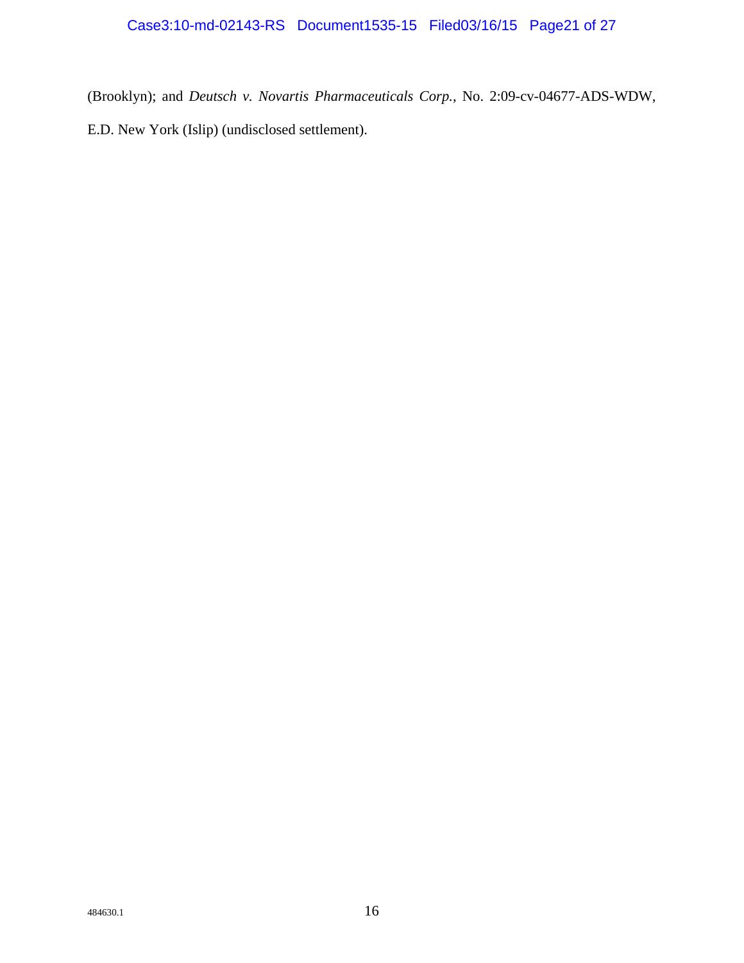(Brooklyn); and *Deutsch v. Novartis Pharmaceuticals Corp.*, No. 2:09-cv-04677-ADS-WDW, E.D. New York (Islip) (undisclosed settlement).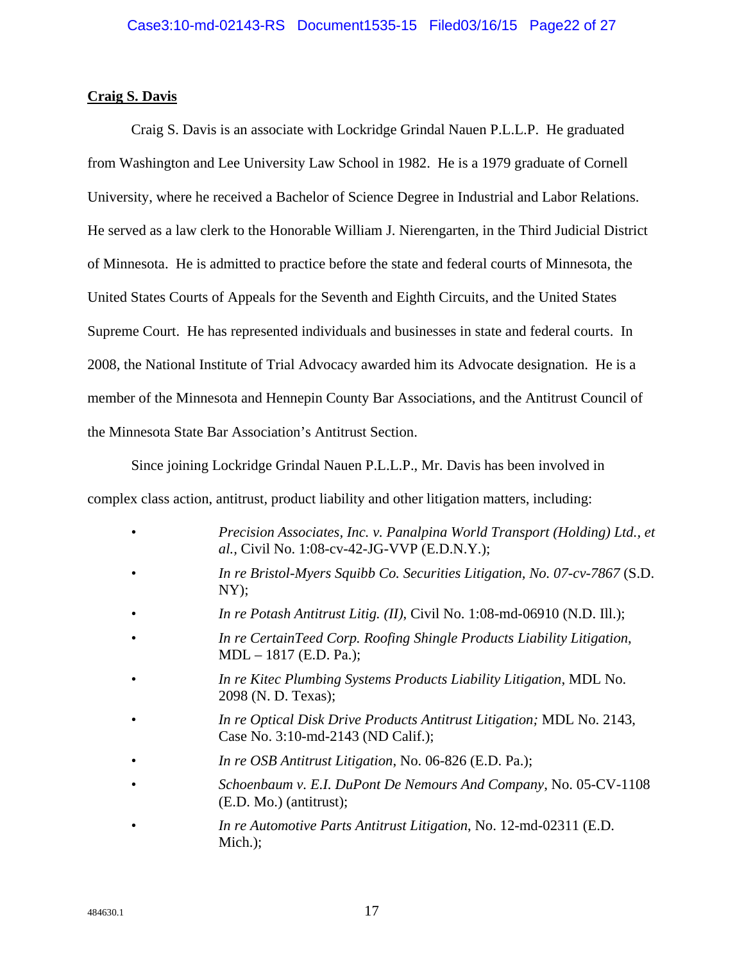#### **Craig S. Davis**

 Craig S. Davis is an associate with Lockridge Grindal Nauen P.L.L.P. He graduated from Washington and Lee University Law School in 1982. He is a 1979 graduate of Cornell University, where he received a Bachelor of Science Degree in Industrial and Labor Relations. He served as a law clerk to the Honorable William J. Nierengarten, in the Third Judicial District of Minnesota. He is admitted to practice before the state and federal courts of Minnesota, the United States Courts of Appeals for the Seventh and Eighth Circuits, and the United States Supreme Court. He has represented individuals and businesses in state and federal courts. In 2008, the National Institute of Trial Advocacy awarded him its Advocate designation. He is a member of the Minnesota and Hennepin County Bar Associations, and the Antitrust Council of the Minnesota State Bar Association's Antitrust Section.

Since joining Lockridge Grindal Nauen P.L.L.P., Mr. Davis has been involved in complex class action, antitrust, product liability and other litigation matters, including:

- *Precision Associates, Inc. v. Panalpina World Transport (Holding) Ltd., et al.,* Civil No. 1:08-cv-42-JG-VVP (E.D.N.Y.);
- *In re Bristol-Myers Squibb Co. Securities Litigation, No. 07-cv-7867* (S.D. NY);
- *In re Potash Antitrust Litig. (II)*, Civil No. 1:08-md-06910 (N.D. Ill.);
- *In re CertainTeed Corp. Roofing Shingle Products Liability Litigation*, MDL – 1817 (E.D. Pa.);
- *In re Kitec Plumbing Systems Products Liability Litigation*, MDL No. 2098 (N. D. Texas);
- *In re Optical Disk Drive Products Antitrust Litigation;* MDL No. 2143, Case No. 3:10-md-2143 (ND Calif.);
- *In re OSB Antitrust Litigation*, No. 06-826 (E.D. Pa.);
- *Schoenbaum v. E.I. DuPont De Nemours And Company*, No. 05-CV-1108 (E.D. Mo.) (antitrust);
- *In re Automotive Parts Antitrust Litigation*, No. 12-md-02311 (E.D. Mich.);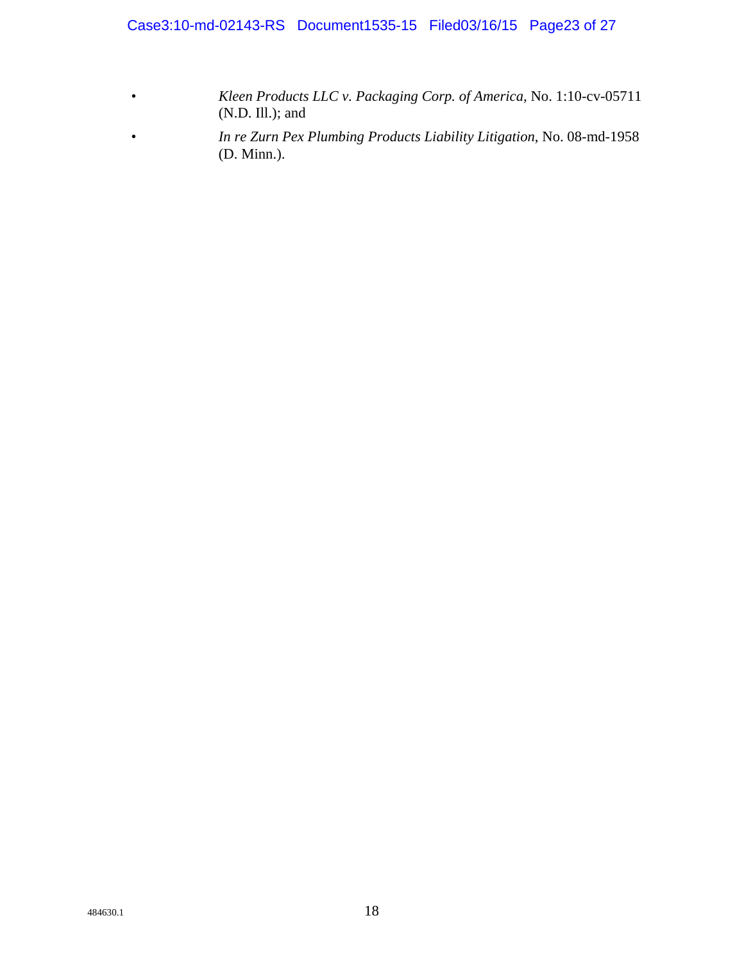Case3:10-md-02143-RS Document1535-15 Filed03/16/15 Page23 of 27

- *Kleen Products LLC v. Packaging Corp. of America,* No. 1:10-cv-05711 (N.D. Ill.); and
- *In re Zurn Pex Plumbing Products Liability Litigation*, No. 08-md-1958 (D. Minn.).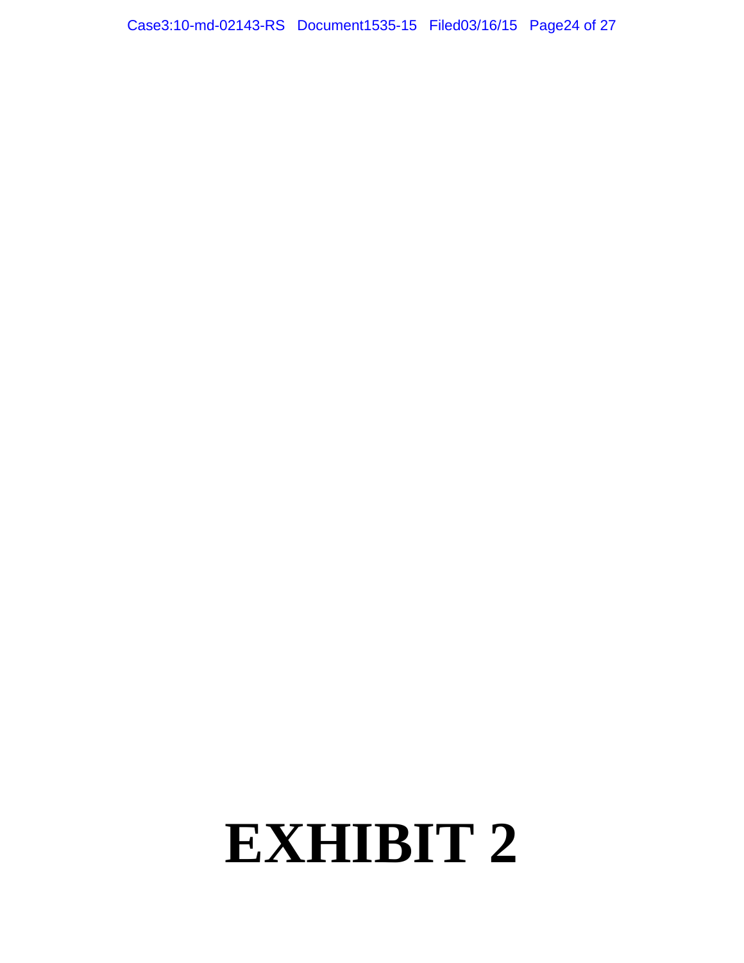Case3:10-md-02143-RS Document1535-15 Filed03/16/15 Page24 of 27

# **EXHIBIT 2**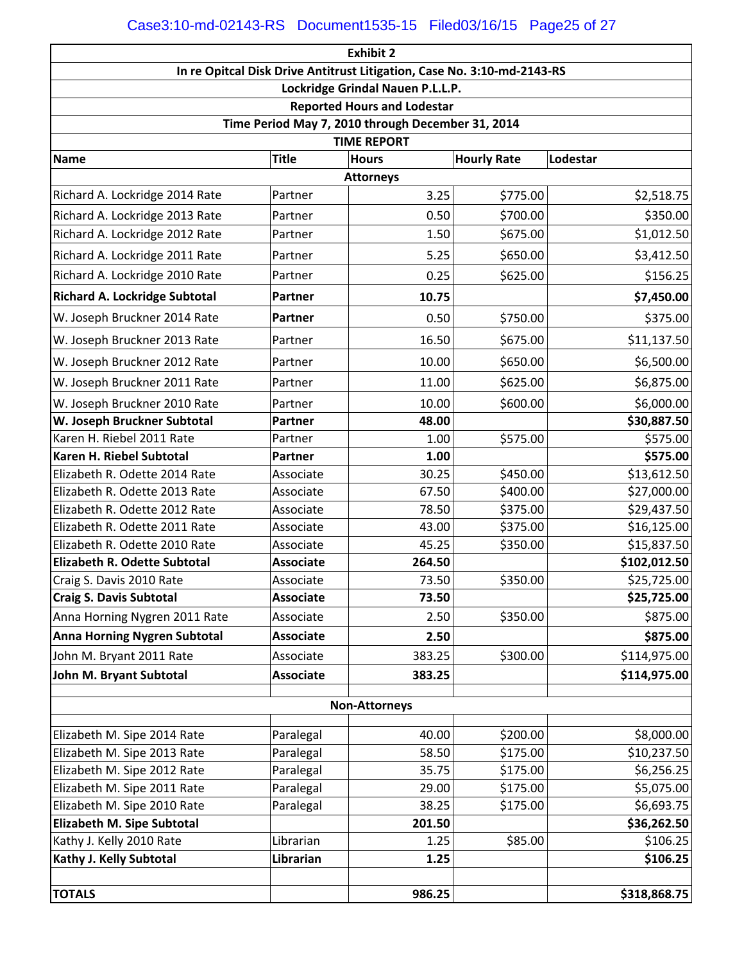| <b>Exhibit 2</b>                                                        |                  |                      |                    |              |  |  |  |  |
|-------------------------------------------------------------------------|------------------|----------------------|--------------------|--------------|--|--|--|--|
| In re Opitcal Disk Drive Antitrust Litigation, Case No. 3:10-md-2143-RS |                  |                      |                    |              |  |  |  |  |
| Lockridge Grindal Nauen P.L.L.P.                                        |                  |                      |                    |              |  |  |  |  |
| <b>Reported Hours and Lodestar</b>                                      |                  |                      |                    |              |  |  |  |  |
| Time Period May 7, 2010 through December 31, 2014                       |                  |                      |                    |              |  |  |  |  |
| <b>TIME REPORT</b>                                                      |                  |                      |                    |              |  |  |  |  |
| <b>Name</b>                                                             | <b>Title</b>     | <b>Hours</b>         | <b>Hourly Rate</b> | Lodestar     |  |  |  |  |
| <b>Attorneys</b>                                                        |                  |                      |                    |              |  |  |  |  |
| Richard A. Lockridge 2014 Rate                                          | Partner          | 3.25                 | \$775.00           | \$2,518.75   |  |  |  |  |
| Richard A. Lockridge 2013 Rate                                          | Partner          | 0.50                 | \$700.00           | \$350.00     |  |  |  |  |
| Richard A. Lockridge 2012 Rate                                          | Partner          | 1.50                 | \$675.00           | \$1,012.50   |  |  |  |  |
| Richard A. Lockridge 2011 Rate                                          | Partner          | 5.25                 | \$650.00           | \$3,412.50   |  |  |  |  |
| Richard A. Lockridge 2010 Rate                                          | Partner          | 0.25                 | \$625.00           | \$156.25     |  |  |  |  |
| <b>Richard A. Lockridge Subtotal</b>                                    | <b>Partner</b>   | 10.75                |                    | \$7,450.00   |  |  |  |  |
| W. Joseph Bruckner 2014 Rate                                            | <b>Partner</b>   | 0.50                 | \$750.00           | \$375.00     |  |  |  |  |
| W. Joseph Bruckner 2013 Rate                                            | Partner          | 16.50                | \$675.00           | \$11,137.50  |  |  |  |  |
| W. Joseph Bruckner 2012 Rate                                            | Partner          | 10.00                | \$650.00           | \$6,500.00   |  |  |  |  |
| W. Joseph Bruckner 2011 Rate                                            | Partner          | 11.00                | \$625.00           | \$6,875.00   |  |  |  |  |
| W. Joseph Bruckner 2010 Rate                                            | Partner          | 10.00                | \$600.00           | \$6,000.00   |  |  |  |  |
| W. Joseph Bruckner Subtotal                                             | Partner          | 48.00                |                    | \$30,887.50  |  |  |  |  |
| Karen H. Riebel 2011 Rate                                               | Partner          | 1.00                 | \$575.00           | \$575.00     |  |  |  |  |
| Karen H. Riebel Subtotal                                                | <b>Partner</b>   | 1.00                 |                    | \$575.00     |  |  |  |  |
| Elizabeth R. Odette 2014 Rate                                           | Associate        | 30.25                | \$450.00           | \$13,612.50  |  |  |  |  |
| Elizabeth R. Odette 2013 Rate                                           | Associate        | 67.50                | \$400.00           | \$27,000.00  |  |  |  |  |
| Elizabeth R. Odette 2012 Rate                                           | Associate        | 78.50                | \$375.00           | \$29,437.50  |  |  |  |  |
| Elizabeth R. Odette 2011 Rate                                           | Associate        | 43.00                | \$375.00           | \$16,125.00  |  |  |  |  |
| Elizabeth R. Odette 2010 Rate                                           | Associate        | 45.25                | \$350.00           | \$15,837.50  |  |  |  |  |
| <b>Elizabeth R. Odette Subtotal</b>                                     | <b>Associate</b> | 264.50               |                    | \$102,012.50 |  |  |  |  |
| Craig S. Davis 2010 Rate                                                | Associate        | 73.50                | \$350.00           | \$25,725.00  |  |  |  |  |
| <b>Craig S. Davis Subtotal</b>                                          | <b>Associate</b> | 73.50                |                    | \$25,725.00  |  |  |  |  |
| Anna Horning Nygren 2011 Rate                                           | Associate        | 2.50                 | \$350.00           | \$875.00     |  |  |  |  |
| <b>Anna Horning Nygren Subtotal</b>                                     | <b>Associate</b> | 2.50                 |                    | \$875.00     |  |  |  |  |
| John M. Bryant 2011 Rate                                                | Associate        | 383.25               | \$300.00           | \$114,975.00 |  |  |  |  |
| John M. Bryant Subtotal                                                 | <b>Associate</b> | 383.25               |                    | \$114,975.00 |  |  |  |  |
|                                                                         |                  | <b>Non-Attorneys</b> |                    |              |  |  |  |  |
|                                                                         |                  |                      |                    |              |  |  |  |  |
| Elizabeth M. Sipe 2014 Rate                                             | Paralegal        | 40.00                | \$200.00           | \$8,000.00   |  |  |  |  |
| Elizabeth M. Sipe 2013 Rate                                             | Paralegal        | 58.50                | \$175.00           | \$10,237.50  |  |  |  |  |
| Elizabeth M. Sipe 2012 Rate                                             | Paralegal        | 35.75                | \$175.00           | \$6,256.25   |  |  |  |  |
| Elizabeth M. Sipe 2011 Rate                                             | Paralegal        | 29.00                | \$175.00           | \$5,075.00   |  |  |  |  |
| Elizabeth M. Sipe 2010 Rate                                             | Paralegal        | 38.25                | \$175.00           | \$6,693.75   |  |  |  |  |
| Elizabeth M. Sipe Subtotal                                              |                  | 201.50               |                    | \$36,262.50  |  |  |  |  |
| Kathy J. Kelly 2010 Rate                                                | Librarian        | 1.25                 | \$85.00            | \$106.25     |  |  |  |  |
| Kathy J. Kelly Subtotal                                                 | Librarian        | 1.25                 |                    | \$106.25     |  |  |  |  |
|                                                                         |                  |                      |                    |              |  |  |  |  |
| <b>TOTALS</b>                                                           |                  | 986.25               |                    | \$318,868.75 |  |  |  |  |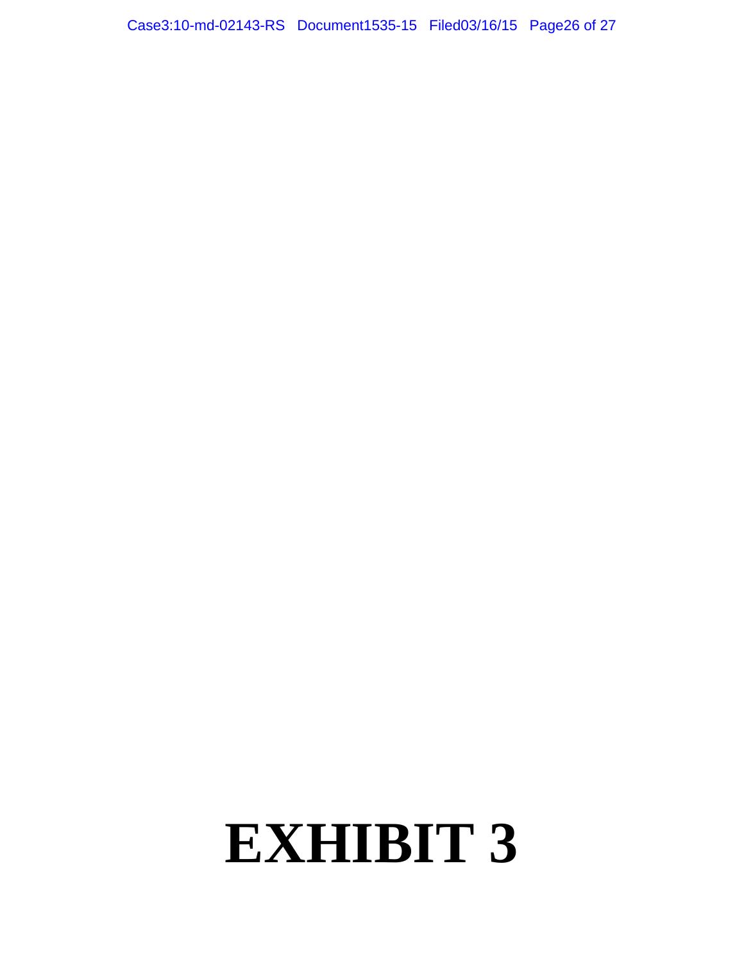Case3:10-md-02143-RS Document1535-15 Filed03/16/15 Page26 of 27

# **EXHIBIT 3**